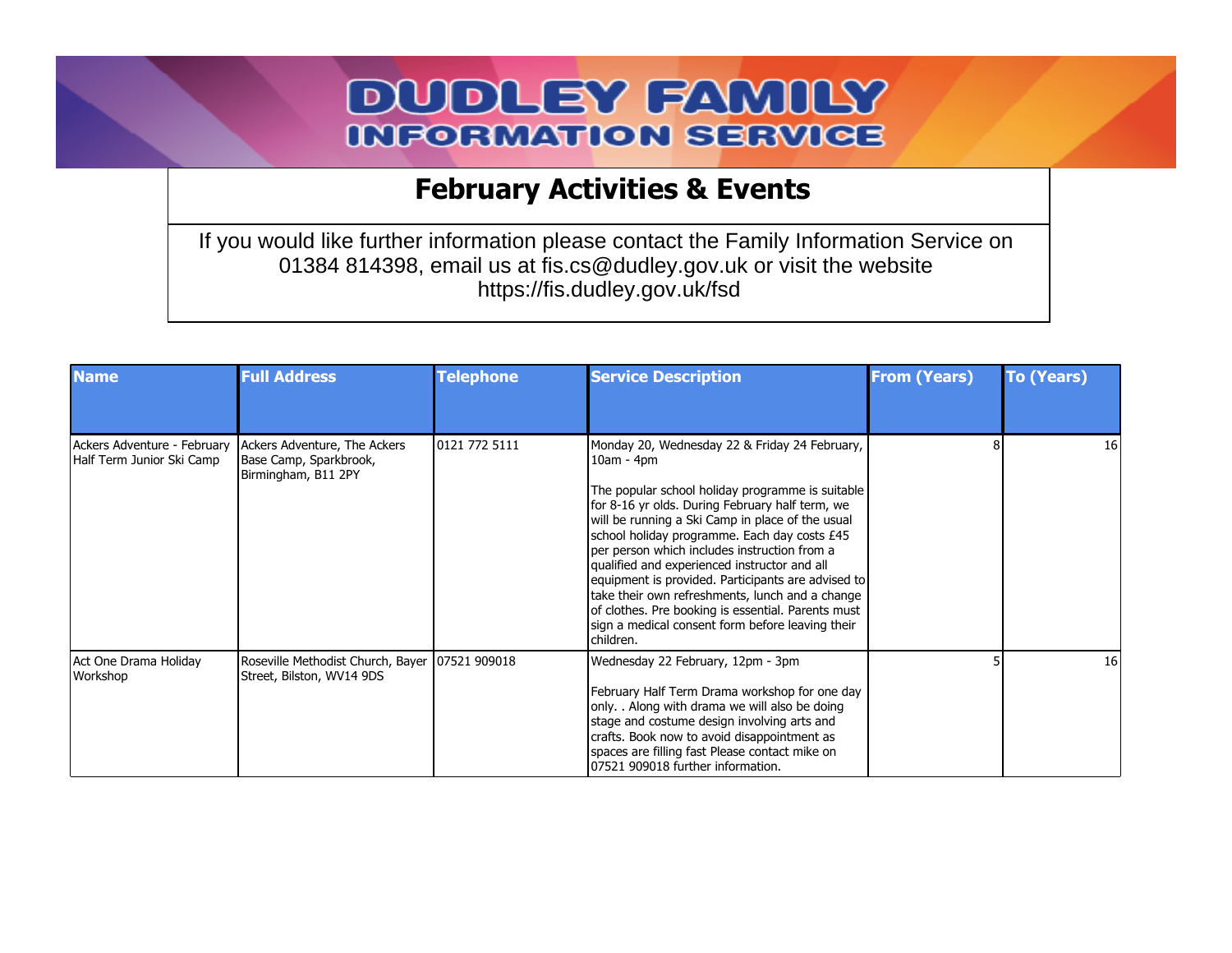## **DUDLEY FAMILY INFORMATION SERVICE**

## **February Activities & Events**

If you would like further information please contact the Family Information Service on 01384 814398, email us at fis.cs@dudley.gov.uk or visit the website https://fis.dudley.gov.uk/fsd

| <b>Name</b>                                              | <b>Full Address</b>                                                           | <b>Telephone</b> | <b>Service Description</b>                                                                                                                                                                                                                                                                                                                                                                                                                                                                                                                                                                                | <b>From (Years)</b> | <b>To (Years)</b> |
|----------------------------------------------------------|-------------------------------------------------------------------------------|------------------|-----------------------------------------------------------------------------------------------------------------------------------------------------------------------------------------------------------------------------------------------------------------------------------------------------------------------------------------------------------------------------------------------------------------------------------------------------------------------------------------------------------------------------------------------------------------------------------------------------------|---------------------|-------------------|
|                                                          |                                                                               |                  |                                                                                                                                                                                                                                                                                                                                                                                                                                                                                                                                                                                                           |                     |                   |
| Ackers Adventure - February<br>Half Term Junior Ski Camp | Ackers Adventure, The Ackers<br>Base Camp, Sparkbrook,<br>Birmingham, B11 2PY | 0121 772 5111    | Monday 20, Wednesday 22 & Friday 24 February,<br>$10am - 4pm$<br>The popular school holiday programme is suitable<br>for 8-16 yr olds. During February half term, we<br>will be running a Ski Camp in place of the usual<br>school holiday programme. Each day costs £45<br>per person which includes instruction from a<br>qualified and experienced instructor and all<br>equipment is provided. Participants are advised to<br>take their own refreshments, lunch and a change<br>of clothes. Pre booking is essential. Parents must<br>sign a medical consent form before leaving their<br>lchildren. |                     | 16 I              |
| Act One Drama Holiday<br>Workshop                        | Roseville Methodist Church, Bayer   07521 909018<br>Street, Bilston, WV14 9DS |                  | Wednesday 22 February, 12pm - 3pm<br>February Half Term Drama workshop for one day<br>only. . Along with drama we will also be doing<br>stage and costume design involving arts and<br>crafts. Book now to avoid disappointment as<br>spaces are filling fast Please contact mike on<br>07521 909018 further information.                                                                                                                                                                                                                                                                                 |                     | <b>16</b>         |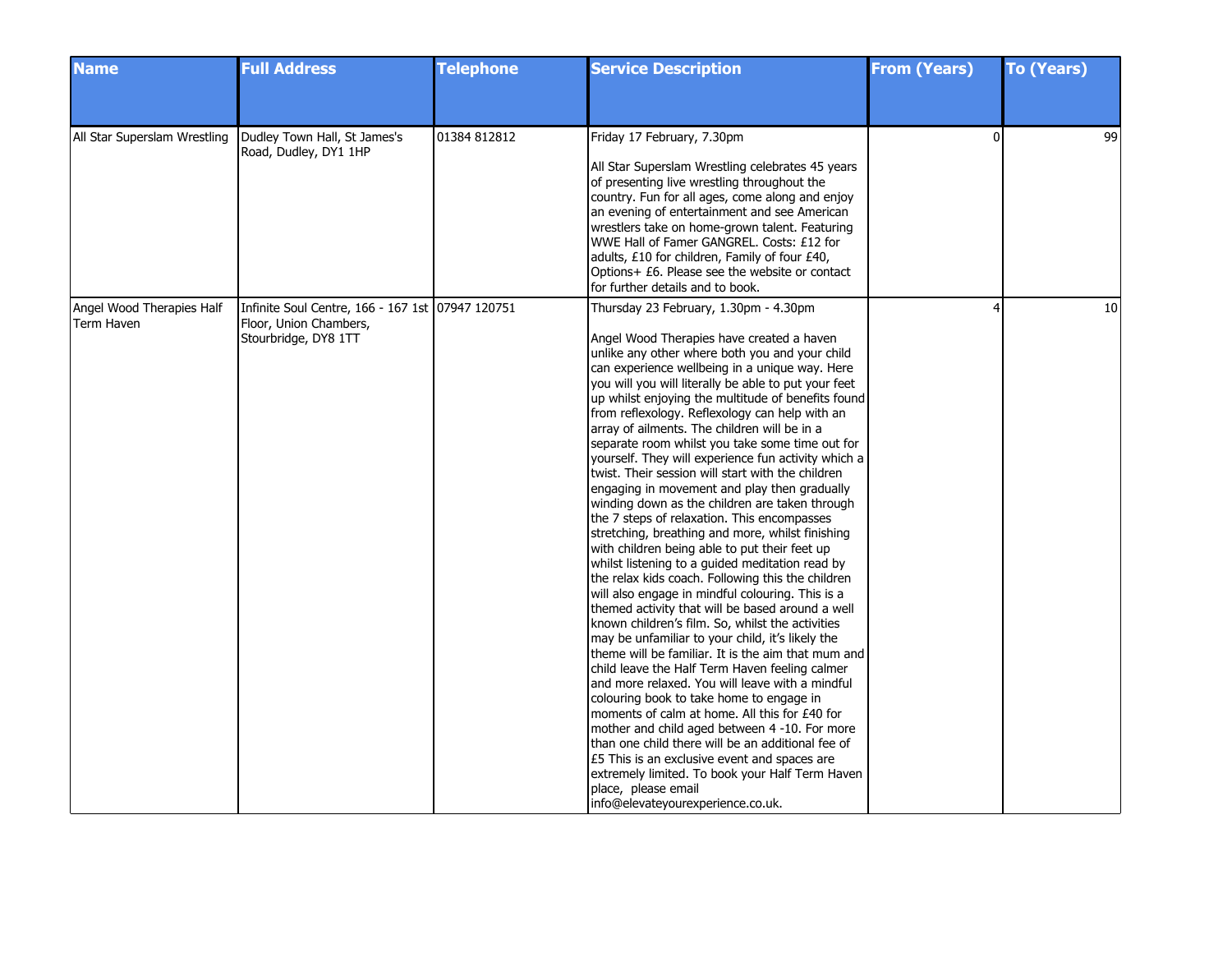| <b>Name</b>                             | <b>Full Address</b>                                                                                | <b>Telephone</b> | <b>Service Description</b>                                                                                                                                                                                                                                                                                                                                                                                                                                                                                                                                                                                                                                                                                                                                                                                                                                                                                                                                                                                                                                                                                                                                                                                                                                                                                                                                                                                                                                                                                                                                                                                                                                                       | <b>From (Years)</b>      | <b>To (Years)</b> |
|-----------------------------------------|----------------------------------------------------------------------------------------------------|------------------|----------------------------------------------------------------------------------------------------------------------------------------------------------------------------------------------------------------------------------------------------------------------------------------------------------------------------------------------------------------------------------------------------------------------------------------------------------------------------------------------------------------------------------------------------------------------------------------------------------------------------------------------------------------------------------------------------------------------------------------------------------------------------------------------------------------------------------------------------------------------------------------------------------------------------------------------------------------------------------------------------------------------------------------------------------------------------------------------------------------------------------------------------------------------------------------------------------------------------------------------------------------------------------------------------------------------------------------------------------------------------------------------------------------------------------------------------------------------------------------------------------------------------------------------------------------------------------------------------------------------------------------------------------------------------------|--------------------------|-------------------|
|                                         |                                                                                                    |                  |                                                                                                                                                                                                                                                                                                                                                                                                                                                                                                                                                                                                                                                                                                                                                                                                                                                                                                                                                                                                                                                                                                                                                                                                                                                                                                                                                                                                                                                                                                                                                                                                                                                                                  |                          |                   |
| All Star Superslam Wrestling            | Dudley Town Hall, St James's<br>Road, Dudley, DY1 1HP                                              | 01384 812812     | Friday 17 February, 7.30pm<br>All Star Superslam Wrestling celebrates 45 years<br>of presenting live wrestling throughout the<br>country. Fun for all ages, come along and enjoy<br>an evening of entertainment and see American<br>wrestlers take on home-grown talent. Featuring<br>WWE Hall of Famer GANGREL. Costs: £12 for<br>adults, £10 for children, Family of four £40,<br>Options+ £6. Please see the website or contact<br>for further details and to book.                                                                                                                                                                                                                                                                                                                                                                                                                                                                                                                                                                                                                                                                                                                                                                                                                                                                                                                                                                                                                                                                                                                                                                                                           | 0                        | 99                |
| Angel Wood Therapies Half<br>Term Haven | Infinite Soul Centre, 166 - 167 1st 07947 120751<br>Floor, Union Chambers,<br>Stourbridge, DY8 1TT |                  | Thursday 23 February, 1.30pm - 4.30pm<br>Angel Wood Therapies have created a haven<br>unlike any other where both you and your child<br>can experience wellbeing in a unique way. Here<br>you will you will literally be able to put your feet<br>up whilst enjoying the multitude of benefits found<br>from reflexology. Reflexology can help with an<br>array of ailments. The children will be in a<br>separate room whilst you take some time out for<br>yourself. They will experience fun activity which a<br>twist. Their session will start with the children<br>engaging in movement and play then gradually<br>winding down as the children are taken through<br>the 7 steps of relaxation. This encompasses<br>stretching, breathing and more, whilst finishing<br>with children being able to put their feet up<br>whilst listening to a guided meditation read by<br>the relax kids coach. Following this the children<br>will also engage in mindful colouring. This is a<br>themed activity that will be based around a well<br>known children's film. So, whilst the activities<br>may be unfamiliar to your child, it's likely the<br>theme will be familiar. It is the aim that mum and<br>child leave the Half Term Haven feeling calmer<br>and more relaxed. You will leave with a mindful<br>colouring book to take home to engage in<br>moments of calm at home. All this for £40 for<br>mother and child aged between 4 -10. For more<br>than one child there will be an additional fee of<br>£5 This is an exclusive event and spaces are<br>extremely limited. To book your Half Term Haven<br>place, please email<br>info@elevateyourexperience.co.uk. | $\overline{\mathcal{L}}$ | 10                |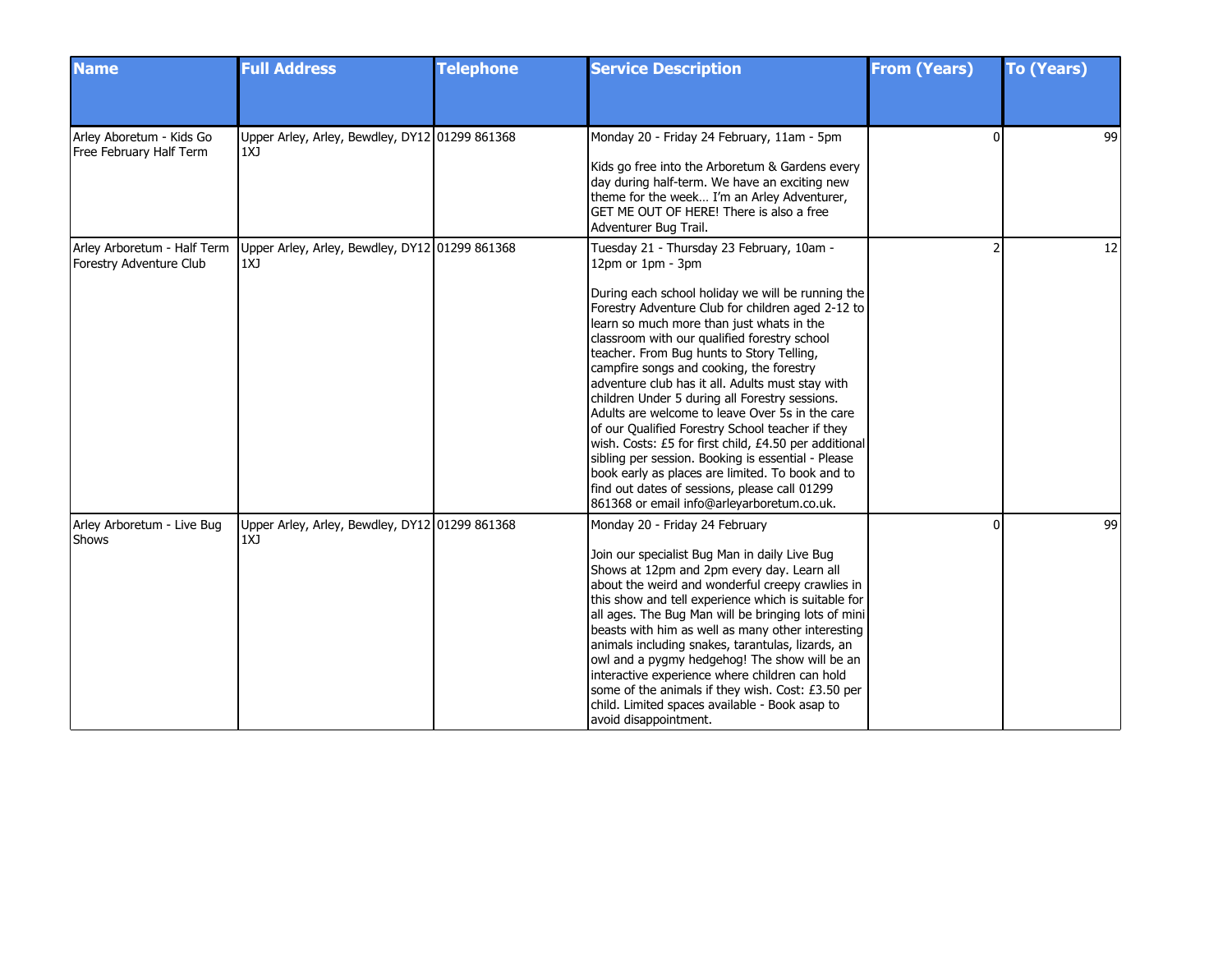| <b>Name</b>                                            | <b>Full Address</b>                                   | <b>Telephone</b> | <b>Service Description</b>                                                                                                                                                                                                                                                                                                                                                                                                                                                                                                                                                                                                                                                                                                                                                                                                                    | <b>From (Years)</b> | <b>To (Years)</b> |
|--------------------------------------------------------|-------------------------------------------------------|------------------|-----------------------------------------------------------------------------------------------------------------------------------------------------------------------------------------------------------------------------------------------------------------------------------------------------------------------------------------------------------------------------------------------------------------------------------------------------------------------------------------------------------------------------------------------------------------------------------------------------------------------------------------------------------------------------------------------------------------------------------------------------------------------------------------------------------------------------------------------|---------------------|-------------------|
|                                                        |                                                       |                  |                                                                                                                                                                                                                                                                                                                                                                                                                                                                                                                                                                                                                                                                                                                                                                                                                                               |                     |                   |
| Arley Aboretum - Kids Go<br>Free February Half Term    | Upper Arley, Arley, Bewdley, DY12 01299 861368<br>1XJ |                  | Monday 20 - Friday 24 February, 11am - 5pm<br>Kids go free into the Arboretum & Gardens every<br>day during half-term. We have an exciting new<br>theme for the week I'm an Arley Adventurer,<br>GET ME OUT OF HERE! There is also a free<br>Adventurer Bug Trail.                                                                                                                                                                                                                                                                                                                                                                                                                                                                                                                                                                            | $\Omega$            | 99                |
| Arley Arboretum - Half Term<br>Forestry Adventure Club | Upper Arley, Arley, Bewdley, DY12 01299 861368<br>1XJ |                  | Tuesday 21 - Thursday 23 February, 10am -<br>12pm or 1pm - 3pm<br>During each school holiday we will be running the<br>Forestry Adventure Club for children aged 2-12 to<br>learn so much more than just whats in the<br>classroom with our qualified forestry school<br>teacher. From Bug hunts to Story Telling,<br>campfire songs and cooking, the forestry<br>adventure club has it all. Adults must stay with<br>children Under 5 during all Forestry sessions.<br>Adults are welcome to leave Over 5s in the care<br>of our Qualified Forestry School teacher if they<br>wish. Costs: £5 for first child, £4.50 per additional<br>sibling per session. Booking is essential - Please<br>book early as places are limited. To book and to<br>find out dates of sessions, please call 01299<br>861368 or email info@arleyarboretum.co.uk. |                     | 12                |
| Arley Arboretum - Live Bug<br>Shows                    | Upper Arley, Arley, Bewdley, DY12 01299 861368<br>1XJ |                  | Monday 20 - Friday 24 February<br>Join our specialist Bug Man in daily Live Bug<br>Shows at 12pm and 2pm every day. Learn all<br>about the weird and wonderful creepy crawlies in<br>this show and tell experience which is suitable for<br>all ages. The Bug Man will be bringing lots of mini<br>beasts with him as well as many other interesting<br>animals including snakes, tarantulas, lizards, an<br>owl and a pygmy hedgehog! The show will be an<br>interactive experience where children can hold<br>some of the animals if they wish. Cost: £3.50 per<br>child. Limited spaces available - Book asap to<br>avoid disappointment.                                                                                                                                                                                                  |                     | 99                |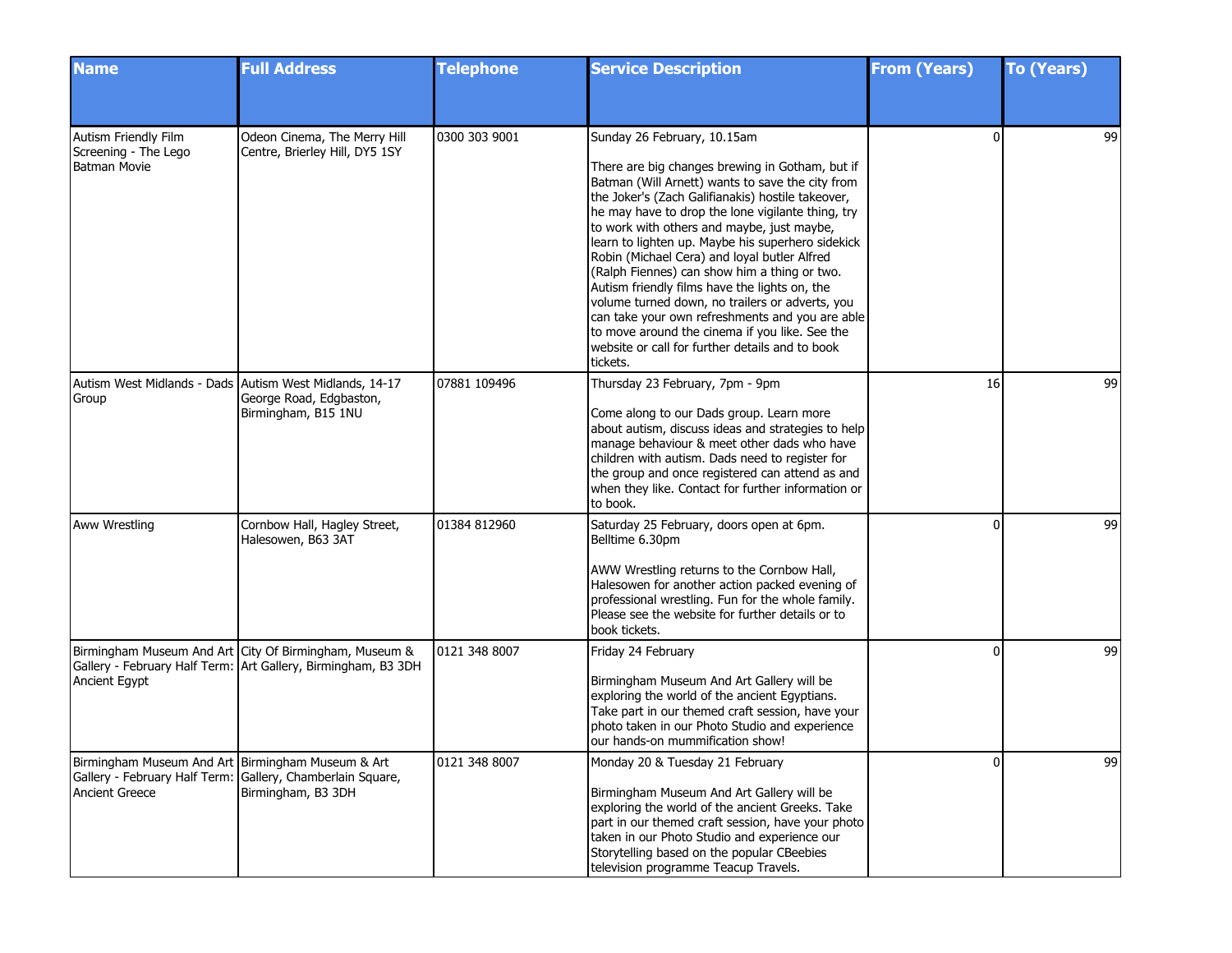| <b>Name</b>                                                                | <b>Full Address</b>                                                                                                     | <b>Telephone</b> | <b>Service Description</b>                                                                                                                                                                                                                                                                                                                                                                                                                                                                                                                                                                                                                                                                                              | <b>From (Years)</b> | <b>To (Years)</b> |
|----------------------------------------------------------------------------|-------------------------------------------------------------------------------------------------------------------------|------------------|-------------------------------------------------------------------------------------------------------------------------------------------------------------------------------------------------------------------------------------------------------------------------------------------------------------------------------------------------------------------------------------------------------------------------------------------------------------------------------------------------------------------------------------------------------------------------------------------------------------------------------------------------------------------------------------------------------------------------|---------------------|-------------------|
|                                                                            |                                                                                                                         |                  |                                                                                                                                                                                                                                                                                                                                                                                                                                                                                                                                                                                                                                                                                                                         |                     |                   |
| Autism Friendly Film<br>Screening - The Lego<br>Batman Movie               | Odeon Cinema, The Merry Hill<br>Centre, Brierley Hill, DY5 1SY                                                          | 0300 303 9001    | Sunday 26 February, 10.15am<br>There are big changes brewing in Gotham, but if<br>Batman (Will Arnett) wants to save the city from<br>the Joker's (Zach Galifianakis) hostile takeover,<br>he may have to drop the lone vigilante thing, try<br>to work with others and maybe, just maybe,<br>learn to lighten up. Maybe his superhero sidekick<br>Robin (Michael Cera) and loyal butler Alfred<br>(Ralph Fiennes) can show him a thing or two.<br>Autism friendly films have the lights on, the<br>volume turned down, no trailers or adverts, you<br>can take your own refreshments and you are able<br>to move around the cinema if you like. See the<br>website or call for further details and to book<br>tickets. | $\Omega$            | 99                |
| Group                                                                      | Autism West Midlands - Dads Autism West Midlands, 14-17<br>George Road, Edgbaston,<br>Birmingham, B15 1NU               | 07881 109496     | Thursday 23 February, 7pm - 9pm<br>Come along to our Dads group. Learn more<br>about autism, discuss ideas and strategies to help<br>manage behaviour & meet other dads who have<br>children with autism. Dads need to register for<br>the group and once registered can attend as and<br>when they like. Contact for further information or<br>to book.                                                                                                                                                                                                                                                                                                                                                                | 16                  | 99                |
| Aww Wrestling                                                              | Cornbow Hall, Hagley Street,<br>Halesowen, B63 3AT                                                                      | 01384 812960     | Saturday 25 February, doors open at 6pm.<br>Belltime 6.30pm<br>AWW Wrestling returns to the Cornbow Hall,<br>Halesowen for another action packed evening of<br>professional wrestling. Fun for the whole family.<br>Please see the website for further details or to<br>book tickets.                                                                                                                                                                                                                                                                                                                                                                                                                                   | <sup>0</sup>        | 99                |
| Ancient Egypt                                                              | Birmingham Museum And Art City Of Birmingham, Museum &<br>Gallery - February Half Term: Art Gallery, Birmingham, B3 3DH | 0121 348 8007    | Friday 24 February<br>Birmingham Museum And Art Gallery will be<br>exploring the world of the ancient Egyptians.<br>Take part in our themed craft session, have your<br>photo taken in our Photo Studio and experience<br>our hands-on mummification show!                                                                                                                                                                                                                                                                                                                                                                                                                                                              | <sup>0</sup>        | 99                |
| Birmingham Museum And Art Birmingham Museum & Art<br><b>Ancient Greece</b> | Gallery - February Half Term: Gallery, Chamberlain Square,<br>Birmingham, B3 3DH                                        | 0121 348 8007    | Monday 20 & Tuesday 21 February<br>Birmingham Museum And Art Gallery will be<br>exploring the world of the ancient Greeks. Take<br>part in our themed craft session, have your photo<br>taken in our Photo Studio and experience our<br>Storytelling based on the popular CBeebies<br>television programme Teacup Travels.                                                                                                                                                                                                                                                                                                                                                                                              | 01                  | 99                |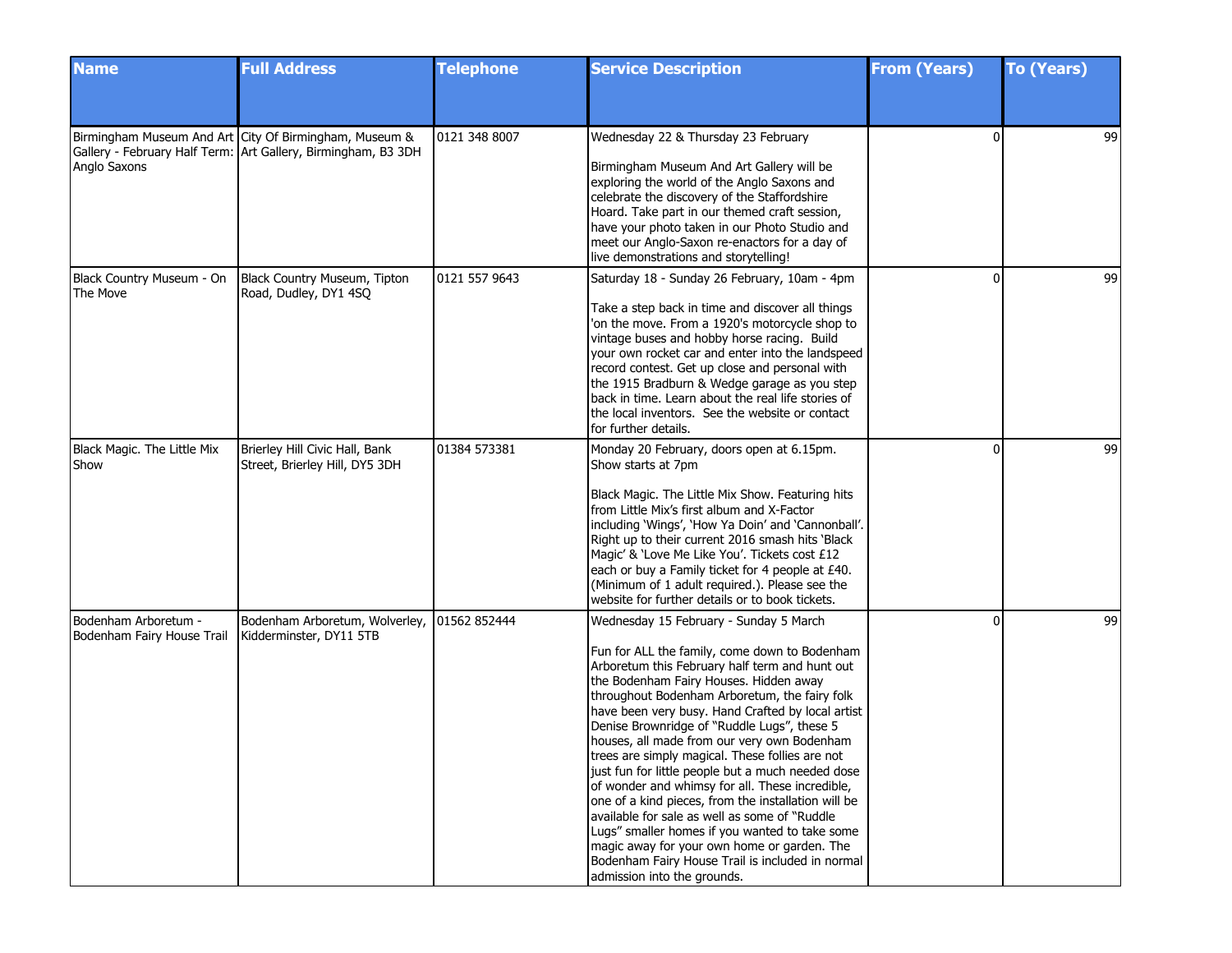| <b>Name</b>                                        | <b>Full Address</b>                                                                                                     | <b>Telephone</b> | <b>Service Description</b>                                                                                                                                                                                                                                                                                                                                                                                                                                                                                                                                                                                                                                                                                                                                                                                                                     | <b>From (Years)</b> | <b>To (Years)</b> |
|----------------------------------------------------|-------------------------------------------------------------------------------------------------------------------------|------------------|------------------------------------------------------------------------------------------------------------------------------------------------------------------------------------------------------------------------------------------------------------------------------------------------------------------------------------------------------------------------------------------------------------------------------------------------------------------------------------------------------------------------------------------------------------------------------------------------------------------------------------------------------------------------------------------------------------------------------------------------------------------------------------------------------------------------------------------------|---------------------|-------------------|
|                                                    |                                                                                                                         |                  |                                                                                                                                                                                                                                                                                                                                                                                                                                                                                                                                                                                                                                                                                                                                                                                                                                                |                     |                   |
| Anglo Saxons                                       | Birmingham Museum And Art City Of Birmingham, Museum &<br>Gallery - February Half Term: Art Gallery, Birmingham, B3 3DH | 0121 348 8007    | Wednesday 22 & Thursday 23 February<br>Birmingham Museum And Art Gallery will be<br>exploring the world of the Anglo Saxons and<br>celebrate the discovery of the Staffordshire<br>Hoard. Take part in our themed craft session,<br>have your photo taken in our Photo Studio and<br>meet our Anglo-Saxon re-enactors for a day of<br>live demonstrations and storytelling!                                                                                                                                                                                                                                                                                                                                                                                                                                                                    | $\Omega$            | 99                |
| Black Country Museum - On<br>The Move              | Black Country Museum, Tipton<br>Road, Dudley, DY1 4SQ                                                                   | 0121 557 9643    | Saturday 18 - Sunday 26 February, 10am - 4pm<br>Take a step back in time and discover all things<br>'on the move. From a 1920's motorcycle shop to<br>vintage buses and hobby horse racing. Build<br>your own rocket car and enter into the landspeed<br>record contest. Get up close and personal with<br>the 1915 Bradburn & Wedge garage as you step<br>back in time. Learn about the real life stories of<br>the local inventors. See the website or contact<br>for further details.                                                                                                                                                                                                                                                                                                                                                       | $\mathbf{0}$        | 99                |
| Black Magic. The Little Mix<br>Show                | Brierley Hill Civic Hall, Bank<br>Street, Brierley Hill, DY5 3DH                                                        | 01384 573381     | Monday 20 February, doors open at 6.15pm.<br>Show starts at 7pm<br>Black Magic. The Little Mix Show. Featuring hits<br>from Little Mix's first album and X-Factor<br>including 'Wings', 'How Ya Doin' and 'Cannonball'.<br>Right up to their current 2016 smash hits 'Black<br>Magic' & 'Love Me Like You'. Tickets cost £12<br>each or buy a Family ticket for 4 people at £40.<br>(Minimum of 1 adult required.). Please see the<br>website for further details or to book tickets.                                                                                                                                                                                                                                                                                                                                                          | $\Omega$            | 99                |
| Bodenham Arboretum -<br>Bodenham Fairy House Trail | Bodenham Arboretum, Wolverley,<br>Kidderminster, DY11 5TB                                                               | 01562 852444     | Wednesday 15 February - Sunday 5 March<br>Fun for ALL the family, come down to Bodenham<br>Arboretum this February half term and hunt out<br>the Bodenham Fairy Houses. Hidden away<br>throughout Bodenham Arboretum, the fairy folk<br>have been very busy. Hand Crafted by local artist<br>Denise Brownridge of "Ruddle Lugs", these 5<br>houses, all made from our very own Bodenham<br>trees are simply magical. These follies are not<br>just fun for little people but a much needed dose<br>of wonder and whimsy for all. These incredible,<br>one of a kind pieces, from the installation will be<br>available for sale as well as some of "Ruddle<br>Lugs" smaller homes if you wanted to take some<br>magic away for your own home or garden. The<br>Bodenham Fairy House Trail is included in normal<br>admission into the grounds. | $\mathbf{0}$        | 99                |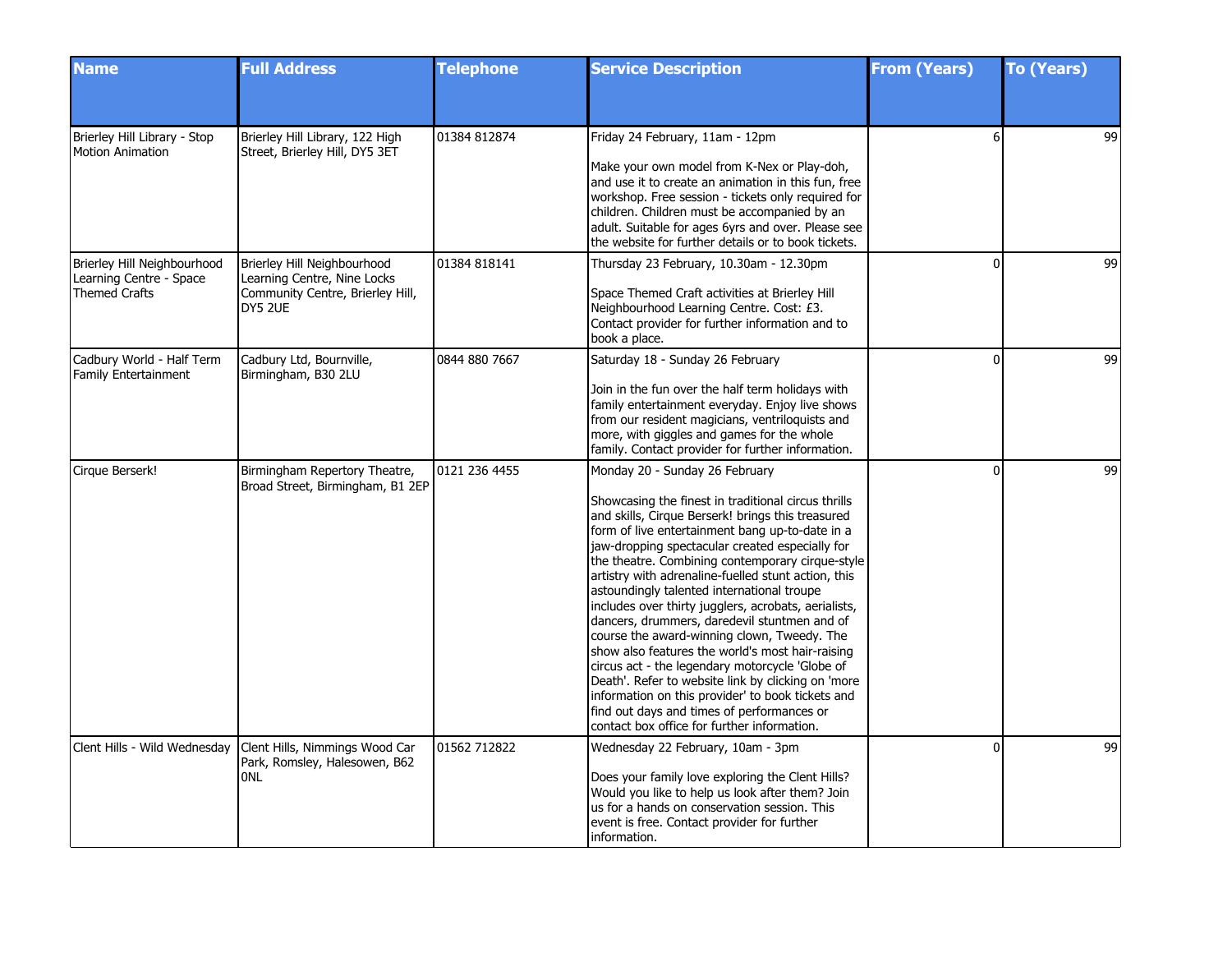| <b>Name</b>                                                                    | <b>Full Address</b>                                                                                       | <b>Telephone</b> | <b>Service Description</b>                                                                                                                                                                                                                                                                                                                                                                                                                                                                                                                                                                                                                                                                                                                                                                                                                                                      | <b>From (Years)</b> | <b>To (Years)</b> |
|--------------------------------------------------------------------------------|-----------------------------------------------------------------------------------------------------------|------------------|---------------------------------------------------------------------------------------------------------------------------------------------------------------------------------------------------------------------------------------------------------------------------------------------------------------------------------------------------------------------------------------------------------------------------------------------------------------------------------------------------------------------------------------------------------------------------------------------------------------------------------------------------------------------------------------------------------------------------------------------------------------------------------------------------------------------------------------------------------------------------------|---------------------|-------------------|
|                                                                                |                                                                                                           |                  |                                                                                                                                                                                                                                                                                                                                                                                                                                                                                                                                                                                                                                                                                                                                                                                                                                                                                 |                     |                   |
| Brierley Hill Library - Stop<br><b>Motion Animation</b>                        | Brierley Hill Library, 122 High<br>Street, Brierley Hill, DY5 3ET                                         | 01384 812874     | Friday 24 February, 11am - 12pm<br>Make your own model from K-Nex or Play-doh,<br>and use it to create an animation in this fun, free<br>workshop. Free session - tickets only required for<br>children. Children must be accompanied by an<br>adult. Suitable for ages 6yrs and over. Please see<br>the website for further details or to book tickets.                                                                                                                                                                                                                                                                                                                                                                                                                                                                                                                        | 6                   | 99                |
| Brierley Hill Neighbourhood<br>Learning Centre - Space<br><b>Themed Crafts</b> | Brierley Hill Neighbourhood<br>Learning Centre, Nine Locks<br>Community Centre, Brierley Hill,<br>DY5 2UE | 01384 818141     | Thursday 23 February, 10.30am - 12.30pm<br>Space Themed Craft activities at Brierley Hill<br>Neighbourhood Learning Centre. Cost: £3.<br>Contact provider for further information and to<br>book a place.                                                                                                                                                                                                                                                                                                                                                                                                                                                                                                                                                                                                                                                                       | $\Omega$            | 99                |
| Cadbury World - Half Term<br><b>Family Entertainment</b>                       | Cadbury Ltd, Bournville,<br>Birmingham, B30 2LU                                                           | 0844 880 7667    | Saturday 18 - Sunday 26 February<br>Join in the fun over the half term holidays with<br>family entertainment everyday. Enjoy live shows<br>from our resident magicians, ventriloquists and<br>more, with giggles and games for the whole<br>family. Contact provider for further information.                                                                                                                                                                                                                                                                                                                                                                                                                                                                                                                                                                                   | $\Omega$            | 99                |
| Cirque Berserk!                                                                | Birmingham Repertory Theatre,<br>Broad Street, Birmingham, B1 2EP                                         | 0121 236 4455    | Monday 20 - Sunday 26 February<br>Showcasing the finest in traditional circus thrills<br>and skills, Cirque Berserk! brings this treasured<br>form of live entertainment bang up-to-date in a<br>jaw-dropping spectacular created especially for<br>the theatre. Combining contemporary cirque-style<br>artistry with adrenaline-fuelled stunt action, this<br>astoundingly talented international troupe<br>includes over thirty jugglers, acrobats, aerialists,<br>dancers, drummers, daredevil stuntmen and of<br>course the award-winning clown, Tweedy. The<br>show also features the world's most hair-raising<br>circus act - the legendary motorcycle 'Globe of<br>Death'. Refer to website link by clicking on 'more<br>information on this provider' to book tickets and<br>find out days and times of performances or<br>contact box office for further information. | $\Omega$            | 99                |
| Clent Hills - Wild Wednesday                                                   | Clent Hills, Nimmings Wood Car<br>Park, Romsley, Halesowen, B62<br>0NL                                    | 01562 712822     | Wednesday 22 February, 10am - 3pm<br>Does your family love exploring the Clent Hills?<br>Would you like to help us look after them? Join<br>us for a hands on conservation session. This<br>event is free. Contact provider for further<br>information.                                                                                                                                                                                                                                                                                                                                                                                                                                                                                                                                                                                                                         | $\Omega$            | 99                |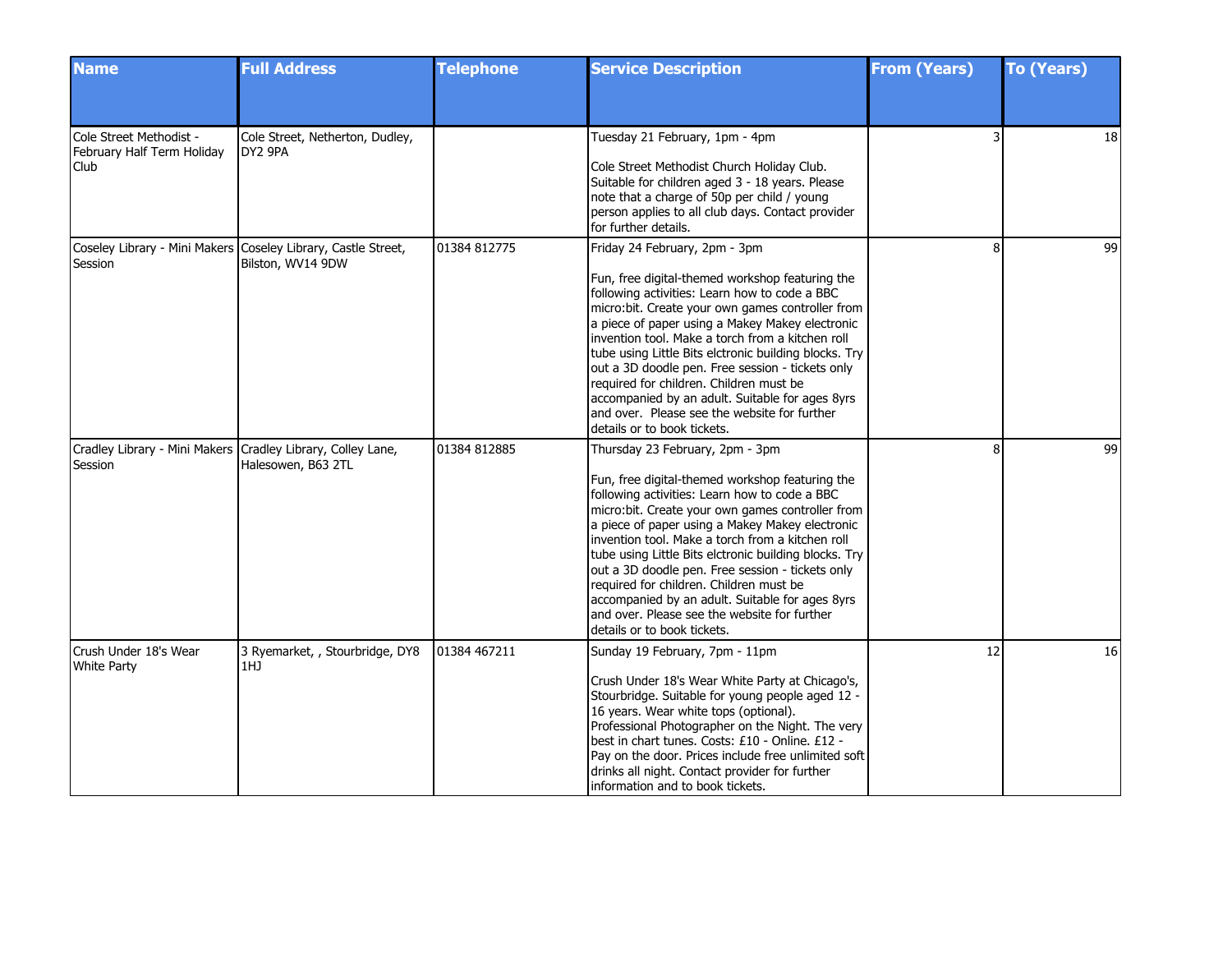| <b>Name</b>                                                            | <b>Full Address</b>                                                                | <b>Telephone</b> | <b>Service Description</b>                                                                                                                                                                                                                                                                                                                                                                                                                                                                                                                                                               | <b>From (Years)</b> | <b>To (Years)</b> |
|------------------------------------------------------------------------|------------------------------------------------------------------------------------|------------------|------------------------------------------------------------------------------------------------------------------------------------------------------------------------------------------------------------------------------------------------------------------------------------------------------------------------------------------------------------------------------------------------------------------------------------------------------------------------------------------------------------------------------------------------------------------------------------------|---------------------|-------------------|
|                                                                        |                                                                                    |                  |                                                                                                                                                                                                                                                                                                                                                                                                                                                                                                                                                                                          |                     |                   |
| Cole Street Methodist -<br>February Half Term Holiday<br>Club          | Cole Street, Netherton, Dudley,<br>DY2 9PA                                         |                  | Tuesday 21 February, 1pm - 4pm<br>Cole Street Methodist Church Holiday Club.<br>Suitable for children aged 3 - 18 years. Please<br>note that a charge of 50p per child / young<br>person applies to all club days. Contact provider<br>for further details.                                                                                                                                                                                                                                                                                                                              |                     | 18                |
| Session                                                                | Coseley Library - Mini Makers Coseley Library, Castle Street,<br>Bilston, WV14 9DW | 01384 812775     | Friday 24 February, 2pm - 3pm<br>Fun, free digital-themed workshop featuring the<br>following activities: Learn how to code a BBC<br>micro:bit. Create your own games controller from<br>a piece of paper using a Makey Makey electronic<br>invention tool. Make a torch from a kitchen roll<br>tube using Little Bits elctronic building blocks. Try<br>out a 3D doodle pen. Free session - tickets only<br>required for children. Children must be<br>accompanied by an adult. Suitable for ages 8yrs<br>and over. Please see the website for further<br>details or to book tickets.   | я                   | 99                |
| Cradley Library - Mini Makers Cradley Library, Colley Lane,<br>Session | Halesowen, B63 2TL                                                                 | 01384 812885     | Thursday 23 February, 2pm - 3pm<br>Fun, free digital-themed workshop featuring the<br>following activities: Learn how to code a BBC<br>micro:bit. Create your own games controller from<br>a piece of paper using a Makey Makey electronic<br>invention tool. Make a torch from a kitchen roll<br>tube using Little Bits elctronic building blocks. Try<br>out a 3D doodle pen. Free session - tickets only<br>required for children. Children must be<br>accompanied by an adult. Suitable for ages 8yrs<br>and over. Please see the website for further<br>details or to book tickets. | 8                   | 99                |
| Crush Under 18's Wear<br><b>White Party</b>                            | 3 Ryemarket, , Stourbridge, DY8<br>1HJ                                             | 01384 467211     | Sunday 19 February, 7pm - 11pm<br>Crush Under 18's Wear White Party at Chicago's,<br>Stourbridge. Suitable for young people aged 12 -<br>16 years. Wear white tops (optional).<br>Professional Photographer on the Night. The very<br>best in chart tunes. Costs: £10 - Online. £12 -<br>Pay on the door. Prices include free unlimited soft<br>drinks all night. Contact provider for further<br>information and to book tickets.                                                                                                                                                       | 12                  | 16                |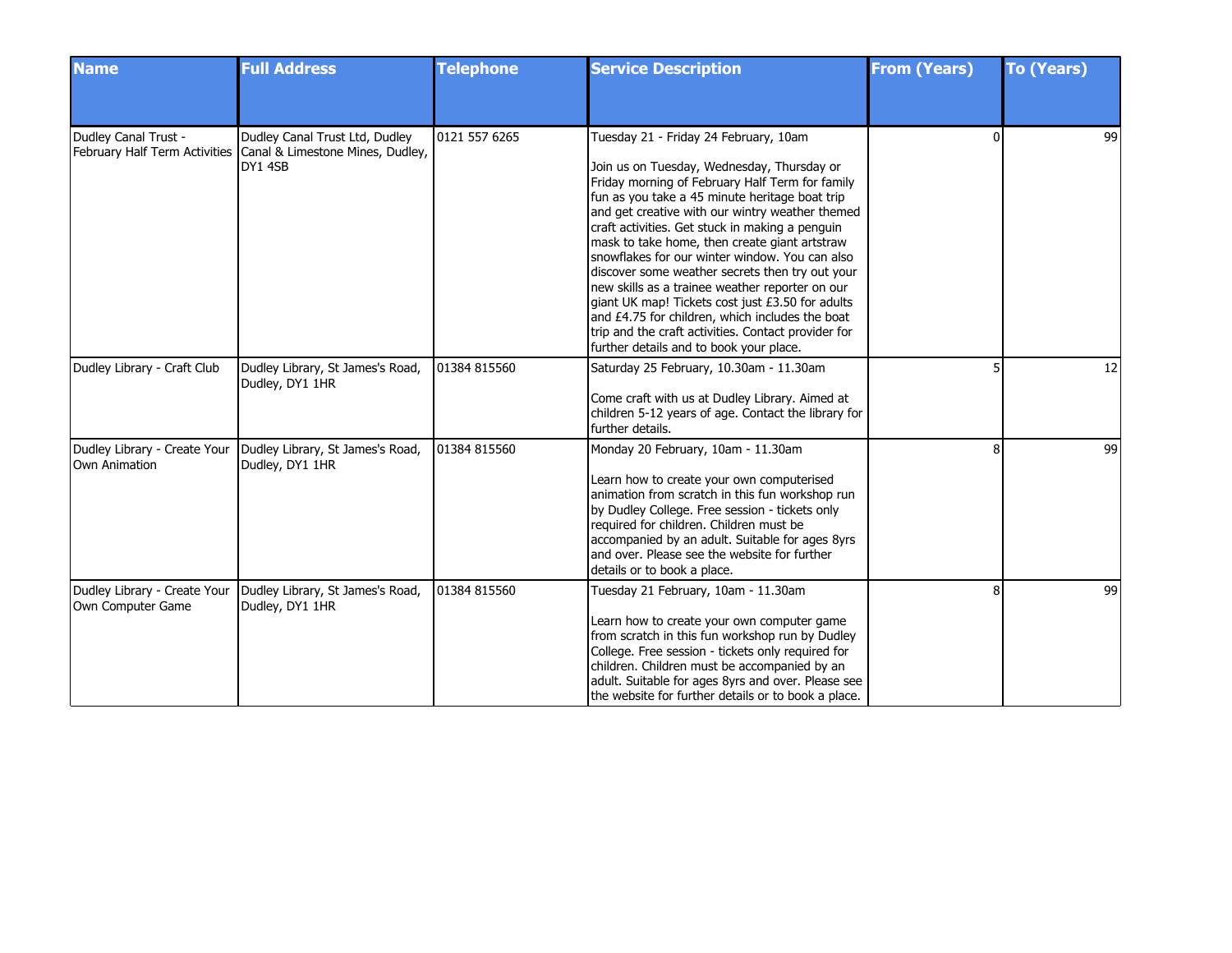| <b>Name</b>                                       | <b>Full Address</b>                                                                                         | <b>Telephone</b> | <b>Service Description</b>                                                                                                                                                                                                                                                                                                                                                                                                                                                                                                                                                                                                                                                                                       | <b>From (Years)</b> | <b>To (Years)</b> |
|---------------------------------------------------|-------------------------------------------------------------------------------------------------------------|------------------|------------------------------------------------------------------------------------------------------------------------------------------------------------------------------------------------------------------------------------------------------------------------------------------------------------------------------------------------------------------------------------------------------------------------------------------------------------------------------------------------------------------------------------------------------------------------------------------------------------------------------------------------------------------------------------------------------------------|---------------------|-------------------|
|                                                   |                                                                                                             |                  |                                                                                                                                                                                                                                                                                                                                                                                                                                                                                                                                                                                                                                                                                                                  |                     |                   |
| Dudley Canal Trust -                              | Dudley Canal Trust Ltd, Dudley<br>February Half Term Activities Canal & Limestone Mines, Dudley,<br>DY1 4SB | 0121 557 6265    | Tuesday 21 - Friday 24 February, 10am<br>Join us on Tuesday, Wednesday, Thursday or<br>Friday morning of February Half Term for family<br>fun as you take a 45 minute heritage boat trip<br>and get creative with our wintry weather themed<br>craft activities. Get stuck in making a penguin<br>mask to take home, then create giant artstraw<br>snowflakes for our winter window. You can also<br>discover some weather secrets then try out your<br>new skills as a trainee weather reporter on our<br>giant UK map! Tickets cost just £3.50 for adults<br>and £4.75 for children, which includes the boat<br>trip and the craft activities. Contact provider for<br>further details and to book your place. |                     | 99                |
| Dudley Library - Craft Club                       | Dudley Library, St James's Road,<br>Dudley, DY1 1HR                                                         | 01384 815560     | Saturday 25 February, 10.30am - 11.30am<br>Come craft with us at Dudley Library. Aimed at<br>children 5-12 years of age. Contact the library for<br>further details.                                                                                                                                                                                                                                                                                                                                                                                                                                                                                                                                             |                     | 12                |
| Own Animation                                     | Dudley Library - Create Your   Dudley Library, St James's Road,<br>Dudley, DY1 1HR                          | 01384 815560     | Monday 20 February, 10am - 11.30am<br>Learn how to create your own computerised<br>animation from scratch in this fun workshop run<br>by Dudley College. Free session - tickets only<br>required for children. Children must be<br>accompanied by an adult. Suitable for ages 8yrs<br>and over. Please see the website for further<br>details or to book a place.                                                                                                                                                                                                                                                                                                                                                |                     | 99                |
| Dudley Library - Create Your<br>Own Computer Game | Dudley Library, St James's Road,<br>Dudley, DY1 1HR                                                         | 01384 815560     | Tuesday 21 February, 10am - 11.30am<br>Learn how to create your own computer game<br>from scratch in this fun workshop run by Dudley<br>College. Free session - tickets only required for<br>children. Children must be accompanied by an<br>adult. Suitable for ages 8yrs and over. Please see<br>the website for further details or to book a place.                                                                                                                                                                                                                                                                                                                                                           | 8                   | 99                |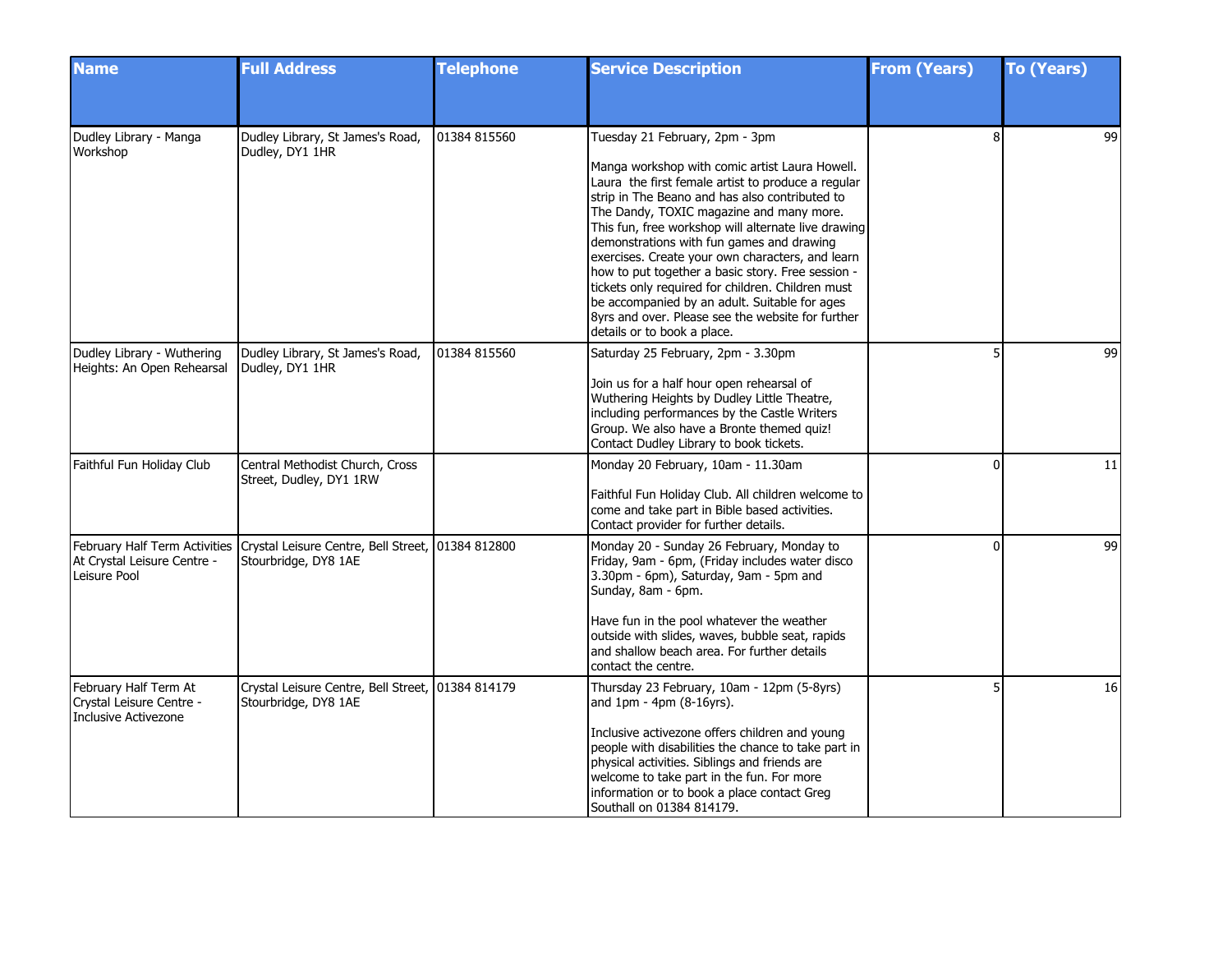| <b>Name</b>                                                                      | <b>Full Address</b>                                                                                     | <b>Telephone</b> | <b>Service Description</b>                                                                                                                                                                                                                                                                                                                                                                                                                                                                                                                                                                                                                  | <b>From (Years)</b> | <b>To (Years)</b> |
|----------------------------------------------------------------------------------|---------------------------------------------------------------------------------------------------------|------------------|---------------------------------------------------------------------------------------------------------------------------------------------------------------------------------------------------------------------------------------------------------------------------------------------------------------------------------------------------------------------------------------------------------------------------------------------------------------------------------------------------------------------------------------------------------------------------------------------------------------------------------------------|---------------------|-------------------|
|                                                                                  |                                                                                                         |                  |                                                                                                                                                                                                                                                                                                                                                                                                                                                                                                                                                                                                                                             |                     |                   |
| Dudley Library - Manga<br>Workshop                                               | Dudley Library, St James's Road,<br>Dudley, DY1 1HR                                                     | 01384 815560     | Tuesday 21 February, 2pm - 3pm<br>Manga workshop with comic artist Laura Howell.<br>Laura the first female artist to produce a regular<br>strip in The Beano and has also contributed to<br>The Dandy, TOXIC magazine and many more.<br>This fun, free workshop will alternate live drawing<br>demonstrations with fun games and drawing<br>exercises. Create your own characters, and learn<br>how to put together a basic story. Free session -<br>tickets only required for children. Children must<br>be accompanied by an adult. Suitable for ages<br>8yrs and over. Please see the website for further<br>details or to book a place. | 8                   | 99                |
| Dudley Library - Wuthering<br>Heights: An Open Rehearsal                         | Dudley Library, St James's Road,<br>Dudley, DY1 1HR                                                     | 01384 815560     | Saturday 25 February, 2pm - 3.30pm<br>Join us for a half hour open rehearsal of<br>Wuthering Heights by Dudley Little Theatre,<br>including performances by the Castle Writers<br>Group. We also have a Bronte themed quiz!<br>Contact Dudley Library to book tickets.                                                                                                                                                                                                                                                                                                                                                                      |                     | 99                |
| Faithful Fun Holiday Club                                                        | Central Methodist Church, Cross<br>Street, Dudley, DY1 1RW                                              |                  | Monday 20 February, 10am - 11.30am<br>Faithful Fun Holiday Club. All children welcome to<br>come and take part in Bible based activities.<br>Contact provider for further details.                                                                                                                                                                                                                                                                                                                                                                                                                                                          | U                   | 11                |
| At Crystal Leisure Centre -<br>Leisure Pool                                      | February Half Term Activities Crystal Leisure Centre, Bell Street, 01384 812800<br>Stourbridge, DY8 1AE |                  | Monday 20 - Sunday 26 February, Monday to<br>Friday, 9am - 6pm, (Friday includes water disco<br>3.30pm - 6pm), Saturday, 9am - 5pm and<br>Sunday, 8am - 6pm.<br>Have fun in the pool whatever the weather<br>outside with slides, waves, bubble seat, rapids<br>and shallow beach area. For further details<br>contact the centre.                                                                                                                                                                                                                                                                                                          | $\Omega$            | 99                |
| February Half Term At<br>Crystal Leisure Centre -<br><b>Inclusive Activezone</b> | Crystal Leisure Centre, Bell Street, 01384 814179<br>Stourbridge, DY8 1AE                               |                  | Thursday 23 February, 10am - 12pm (5-8yrs)<br>and $1pm - 4pm (8-16yrs)$ .<br>Inclusive activezone offers children and young<br>people with disabilities the chance to take part in<br>physical activities. Siblings and friends are<br>welcome to take part in the fun. For more<br>information or to book a place contact Greg<br>Southall on 01384 814179.                                                                                                                                                                                                                                                                                |                     | 16                |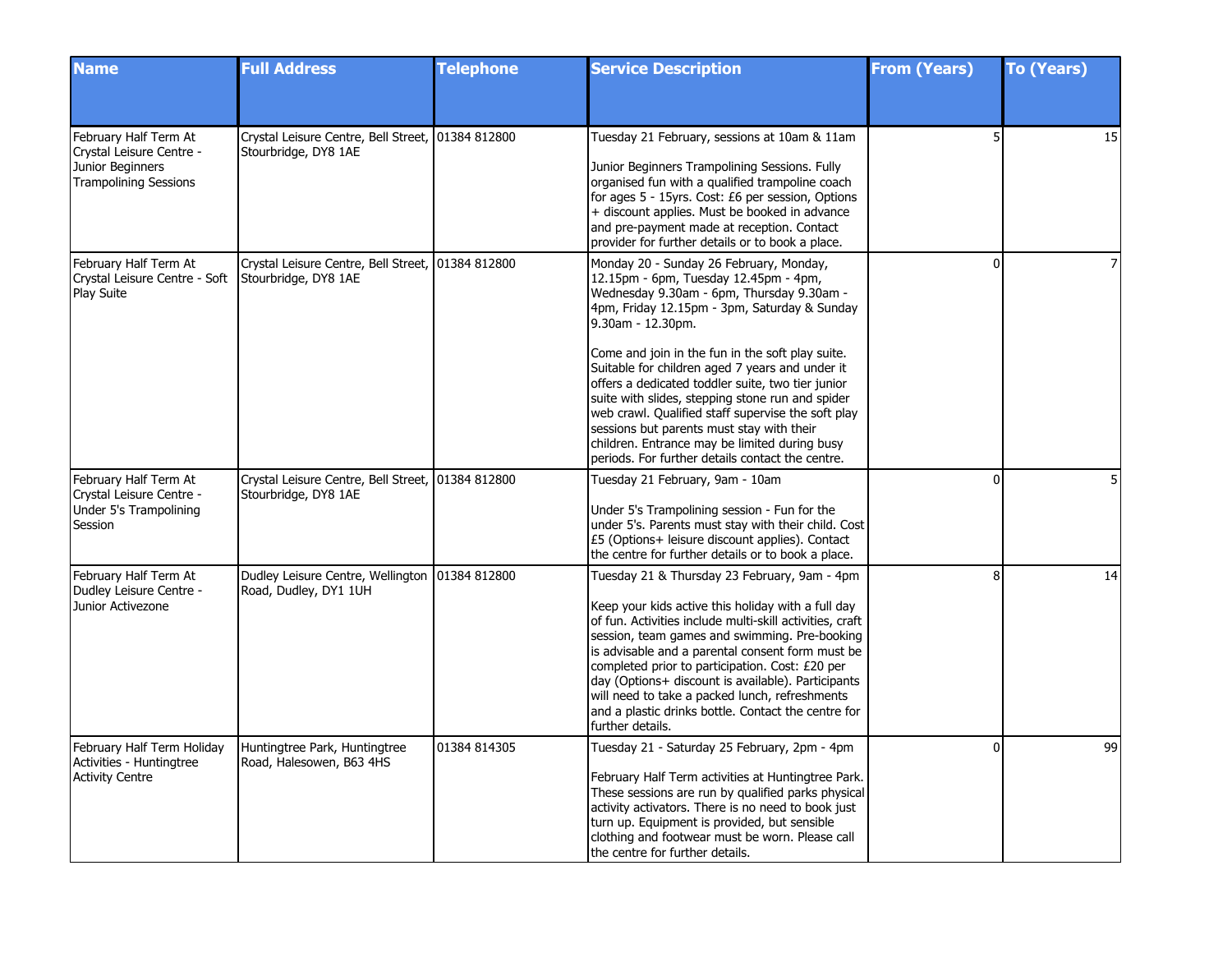| <b>Name</b>                                                                                           | <b>Full Address</b>                                                       | <b>Telephone</b> | <b>Service Description</b>                                                                                                                                                                                                                                                                                                                                                                                                                                                                                                                                                                                                 | <b>From (Years)</b> | <b>To (Years)</b> |
|-------------------------------------------------------------------------------------------------------|---------------------------------------------------------------------------|------------------|----------------------------------------------------------------------------------------------------------------------------------------------------------------------------------------------------------------------------------------------------------------------------------------------------------------------------------------------------------------------------------------------------------------------------------------------------------------------------------------------------------------------------------------------------------------------------------------------------------------------------|---------------------|-------------------|
|                                                                                                       |                                                                           |                  |                                                                                                                                                                                                                                                                                                                                                                                                                                                                                                                                                                                                                            |                     |                   |
| February Half Term At<br>Crystal Leisure Centre -<br>Junior Beginners<br><b>Trampolining Sessions</b> | Crystal Leisure Centre, Bell Street, 01384 812800<br>Stourbridge, DY8 1AE |                  | Tuesday 21 February, sessions at 10am & 11am<br>Junior Beginners Trampolining Sessions. Fully<br>organised fun with a qualified trampoline coach<br>for ages 5 - 15yrs. Cost: £6 per session, Options<br>+ discount applies. Must be booked in advance<br>and pre-payment made at reception. Contact<br>provider for further details or to book a place.                                                                                                                                                                                                                                                                   |                     | 15                |
| February Half Term At<br>Crystal Leisure Centre - Soft<br>Play Suite                                  | Crystal Leisure Centre, Bell Street, 01384 812800<br>Stourbridge, DY8 1AE |                  | Monday 20 - Sunday 26 February, Monday,<br>12.15pm - 6pm, Tuesday 12.45pm - 4pm,<br>Wednesday 9.30am - 6pm, Thursday 9.30am -<br>4pm, Friday 12.15pm - 3pm, Saturday & Sunday<br>9.30am - 12.30pm.<br>Come and join in the fun in the soft play suite.<br>Suitable for children aged 7 years and under it<br>offers a dedicated toddler suite, two tier junior<br>suite with slides, stepping stone run and spider<br>web crawl. Qualified staff supervise the soft play<br>sessions but parents must stay with their<br>children. Entrance may be limited during busy<br>periods. For further details contact the centre. | $\Omega$            | $\overline{7}$    |
| February Half Term At<br>Crystal Leisure Centre -<br>Under 5's Trampolining<br>Session                | Crystal Leisure Centre, Bell Street, 01384 812800<br>Stourbridge, DY8 1AE |                  | Tuesday 21 February, 9am - 10am<br>Under 5's Trampolining session - Fun for the<br>under 5's. Parents must stay with their child. Cost<br>£5 (Options+ leisure discount applies). Contact<br>the centre for further details or to book a place.                                                                                                                                                                                                                                                                                                                                                                            | $\Omega$            | 5                 |
| February Half Term At<br>Dudley Leisure Centre -<br>Junior Activezone                                 | Dudley Leisure Centre, Wellington   01384 812800<br>Road, Dudley, DY1 1UH |                  | Tuesday 21 & Thursday 23 February, 9am - 4pm<br>Keep your kids active this holiday with a full day<br>of fun. Activities include multi-skill activities, craft<br>session, team games and swimming. Pre-booking<br>is advisable and a parental consent form must be<br>completed prior to participation. Cost: £20 per<br>day (Options+ discount is available). Participants<br>will need to take a packed lunch, refreshments<br>and a plastic drinks bottle. Contact the centre for<br>further details.                                                                                                                  | 8                   | 14                |
| February Half Term Holiday<br>Activities - Huntingtree<br><b>Activity Centre</b>                      | Huntingtree Park, Huntingtree<br>Road, Halesowen, B63 4HS                 | 01384 814305     | Tuesday 21 - Saturday 25 February, 2pm - 4pm<br>February Half Term activities at Huntingtree Park.<br>These sessions are run by qualified parks physical<br>activity activators. There is no need to book just<br>turn up. Equipment is provided, but sensible<br>clothing and footwear must be worn. Please call<br>the centre for further details.                                                                                                                                                                                                                                                                       | $\Omega$            | 99                |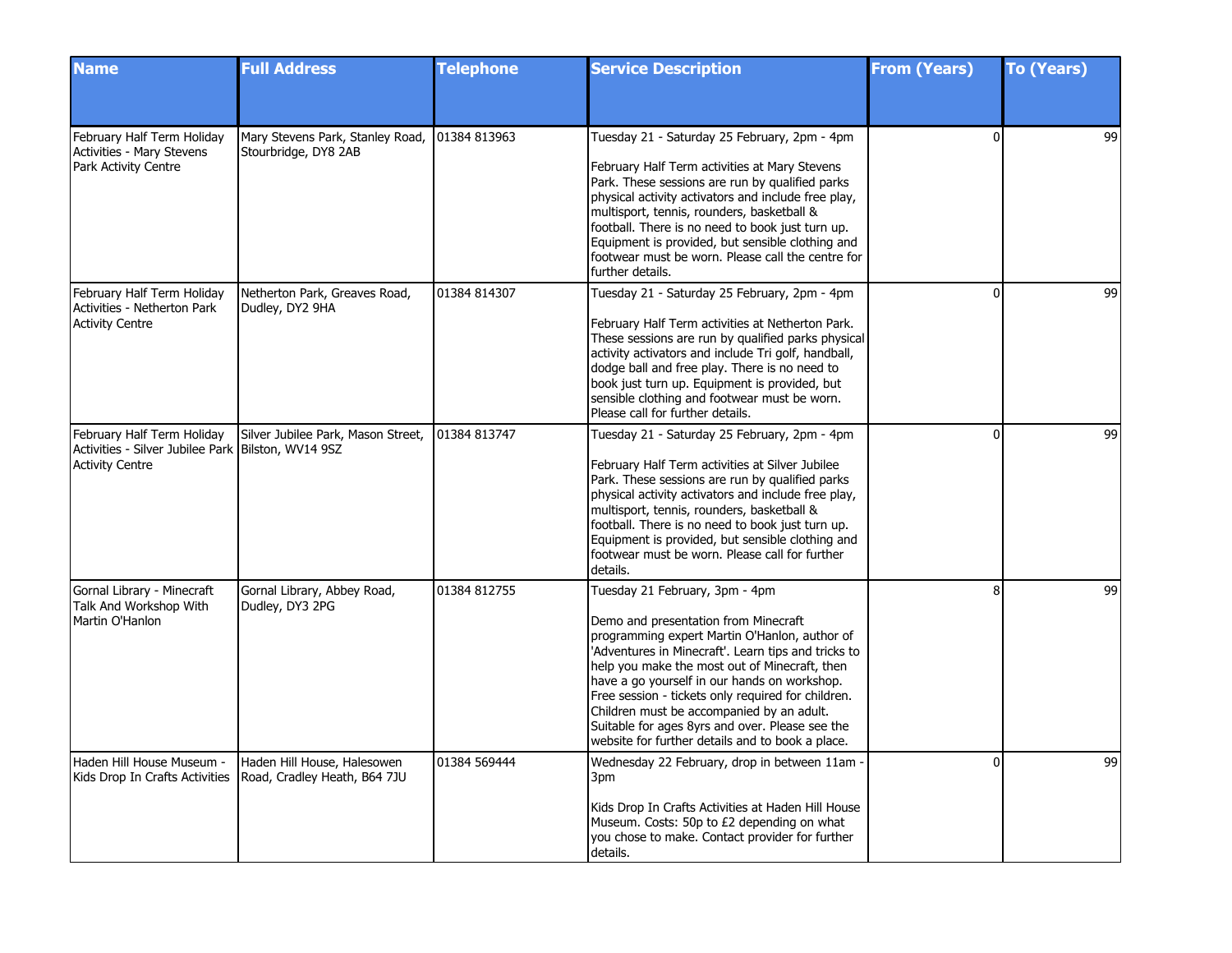| <b>Name</b>                                                                                                  | <b>Full Address</b>                                         | <b>Telephone</b> | <b>Service Description</b>                                                                                                                                                                                                                                                                                                                                                                                                                                                                | <b>From (Years)</b> | <b>To (Years)</b> |
|--------------------------------------------------------------------------------------------------------------|-------------------------------------------------------------|------------------|-------------------------------------------------------------------------------------------------------------------------------------------------------------------------------------------------------------------------------------------------------------------------------------------------------------------------------------------------------------------------------------------------------------------------------------------------------------------------------------------|---------------------|-------------------|
|                                                                                                              |                                                             |                  |                                                                                                                                                                                                                                                                                                                                                                                                                                                                                           |                     |                   |
| February Half Term Holiday<br><b>Activities - Mary Stevens</b><br>Park Activity Centre                       | Mary Stevens Park, Stanley Road,<br>Stourbridge, DY8 2AB    | 01384 813963     | Tuesday 21 - Saturday 25 February, 2pm - 4pm<br>February Half Term activities at Mary Stevens<br>Park. These sessions are run by qualified parks<br>physical activity activators and include free play,<br>multisport, tennis, rounders, basketball &<br>football. There is no need to book just turn up.<br>Equipment is provided, but sensible clothing and<br>footwear must be worn. Please call the centre for<br>further details.                                                    | U                   | 99                |
| February Half Term Holiday<br>Activities - Netherton Park<br><b>Activity Centre</b>                          | Netherton Park, Greaves Road,<br>Dudley, DY2 9HA            | 01384 814307     | Tuesday 21 - Saturday 25 February, 2pm - 4pm<br>February Half Term activities at Netherton Park.<br>These sessions are run by qualified parks physical<br>activity activators and include Tri golf, handball,<br>dodge ball and free play. There is no need to<br>book just turn up. Equipment is provided, but<br>sensible clothing and footwear must be worn.<br>Please call for further details.                                                                                       | 0                   | 99                |
| February Half Term Holiday<br>Activities - Silver Jubilee Park   Bilston, WV14 9SZ<br><b>Activity Centre</b> | Silver Jubilee Park, Mason Street,                          | 01384 813747     | Tuesday 21 - Saturday 25 February, 2pm - 4pm<br>February Half Term activities at Silver Jubilee<br>Park. These sessions are run by qualified parks<br>physical activity activators and include free play,<br>multisport, tennis, rounders, basketball &<br>football. There is no need to book just turn up.<br>Equipment is provided, but sensible clothing and<br>footwear must be worn. Please call for further<br>details.                                                             | $\Omega$            | 99                |
| Gornal Library - Minecraft<br>Talk And Workshop With<br>Martin O'Hanlon                                      | Gornal Library, Abbey Road,<br>Dudley, DY3 2PG              | 01384 812755     | Tuesday 21 February, 3pm - 4pm<br>Demo and presentation from Minecraft<br>programming expert Martin O'Hanlon, author of<br>'Adventures in Minecraft'. Learn tips and tricks to<br>help you make the most out of Minecraft, then<br>have a go yourself in our hands on workshop.<br>Free session - tickets only required for children.<br>Children must be accompanied by an adult.<br>Suitable for ages 8yrs and over. Please see the<br>website for further details and to book a place. | R                   | 99                |
| Haden Hill House Museum -<br>Kids Drop In Crafts Activities                                                  | Haden Hill House, Halesowen<br>Road, Cradley Heath, B64 7JU | 01384 569444     | Wednesday 22 February, drop in between 11am<br>3pm<br>Kids Drop In Crafts Activities at Haden Hill House<br>Museum. Costs: 50p to £2 depending on what<br>you chose to make. Contact provider for further<br>details.                                                                                                                                                                                                                                                                     | $\Omega$            | 99                |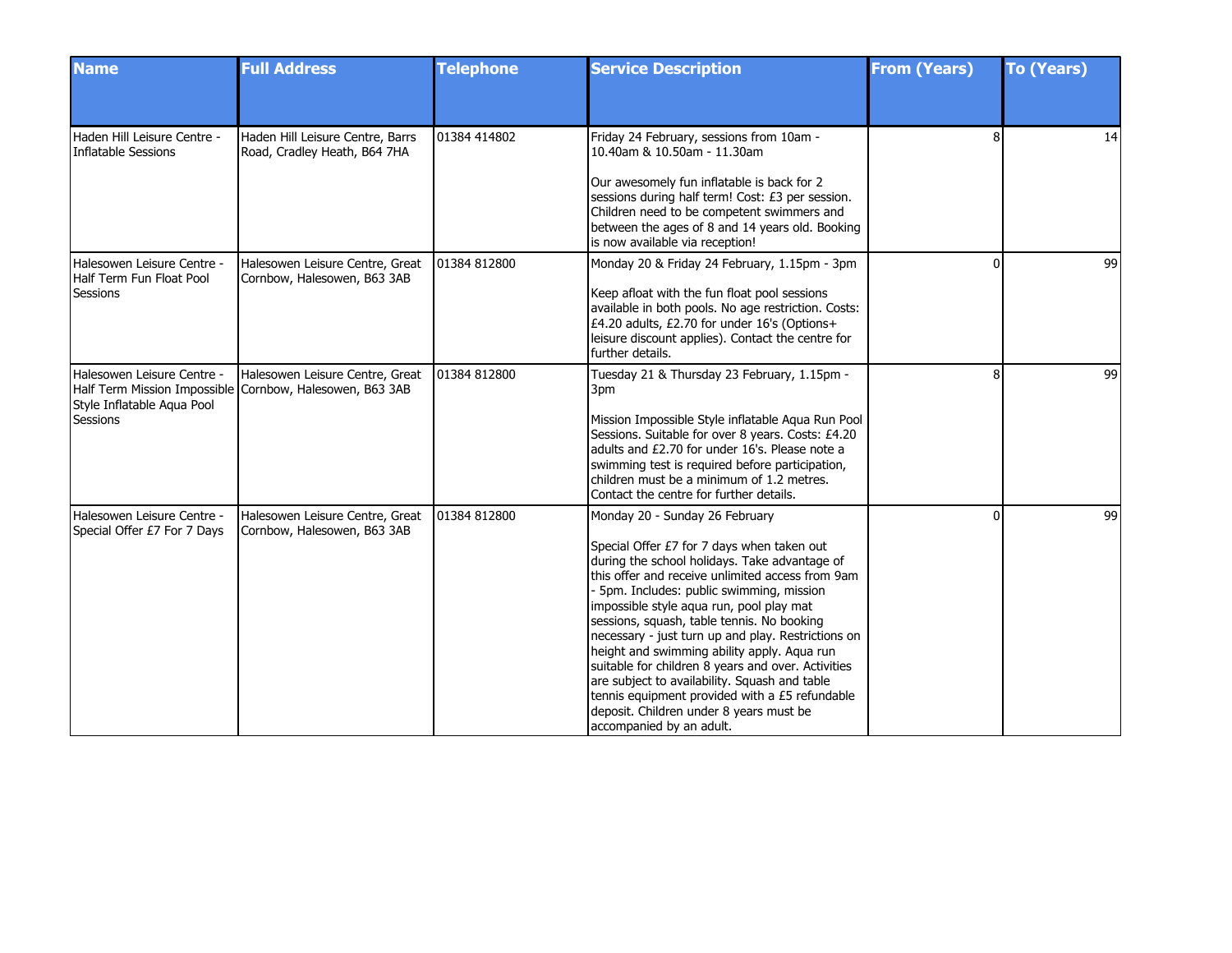| <b>Name</b>                                               | <b>Full Address</b>                                                                         | <b>Telephone</b> | <b>Service Description</b>                                                                                                                                                                                                                                                                                                                                                                                                                                                                                                                                                                                                  | <b>From (Years)</b> | <b>To (Years)</b> |
|-----------------------------------------------------------|---------------------------------------------------------------------------------------------|------------------|-----------------------------------------------------------------------------------------------------------------------------------------------------------------------------------------------------------------------------------------------------------------------------------------------------------------------------------------------------------------------------------------------------------------------------------------------------------------------------------------------------------------------------------------------------------------------------------------------------------------------------|---------------------|-------------------|
|                                                           |                                                                                             |                  |                                                                                                                                                                                                                                                                                                                                                                                                                                                                                                                                                                                                                             |                     |                   |
| Haden Hill Leisure Centre -<br>Inflatable Sessions        | Haden Hill Leisure Centre, Barrs<br>Road, Cradley Heath, B64 7HA                            | 01384 414802     | Friday 24 February, sessions from 10am -<br>10.40am & 10.50am - 11.30am                                                                                                                                                                                                                                                                                                                                                                                                                                                                                                                                                     | 8                   | 14                |
|                                                           |                                                                                             |                  | Our awesomely fun inflatable is back for 2<br>sessions during half term! Cost: £3 per session.<br>Children need to be competent swimmers and<br>between the ages of 8 and 14 years old. Booking<br>is now available via reception!                                                                                                                                                                                                                                                                                                                                                                                          |                     |                   |
| Halesowen Leisure Centre -<br>Half Term Fun Float Pool    | Halesowen Leisure Centre, Great<br>Cornbow, Halesowen, B63 3AB                              | 01384 812800     | Monday 20 & Friday 24 February, 1.15pm - 3pm                                                                                                                                                                                                                                                                                                                                                                                                                                                                                                                                                                                | $\Omega$            | 99                |
| Sessions                                                  |                                                                                             |                  | Keep afloat with the fun float pool sessions<br>available in both pools. No age restriction. Costs:<br>£4.20 adults, £2.70 for under 16's (Options+<br>leisure discount applies). Contact the centre for<br>further details.                                                                                                                                                                                                                                                                                                                                                                                                |                     |                   |
| Halesowen Leisure Centre -                                | Halesowen Leisure Centre, Great<br>Half Term Mission Impossible Cornbow, Halesowen, B63 3AB | 01384 812800     | Tuesday 21 & Thursday 23 February, 1.15pm -<br>3pm                                                                                                                                                                                                                                                                                                                                                                                                                                                                                                                                                                          | Ŕ                   | 99                |
| Style Inflatable Aqua Pool<br>Sessions                    |                                                                                             |                  | Mission Impossible Style inflatable Aqua Run Pool<br>Sessions. Suitable for over 8 years. Costs: £4.20<br>adults and £2.70 for under 16's. Please note a<br>swimming test is required before participation,<br>children must be a minimum of 1.2 metres.<br>Contact the centre for further details.                                                                                                                                                                                                                                                                                                                         |                     |                   |
| Halesowen Leisure Centre -<br>Special Offer £7 For 7 Days | Halesowen Leisure Centre, Great<br>Cornbow, Halesowen, B63 3AB                              | 01384 812800     | Monday 20 - Sunday 26 February                                                                                                                                                                                                                                                                                                                                                                                                                                                                                                                                                                                              | $\Omega$            | 99                |
|                                                           |                                                                                             |                  | Special Offer £7 for 7 days when taken out<br>during the school holidays. Take advantage of<br>this offer and receive unlimited access from 9am<br>- 5pm. Includes: public swimming, mission<br>impossible style aqua run, pool play mat<br>sessions, squash, table tennis. No booking<br>necessary - just turn up and play. Restrictions on<br>height and swimming ability apply. Aqua run<br>suitable for children 8 years and over. Activities<br>are subject to availability. Squash and table<br>tennis equipment provided with a £5 refundable<br>deposit. Children under 8 years must be<br>accompanied by an adult. |                     |                   |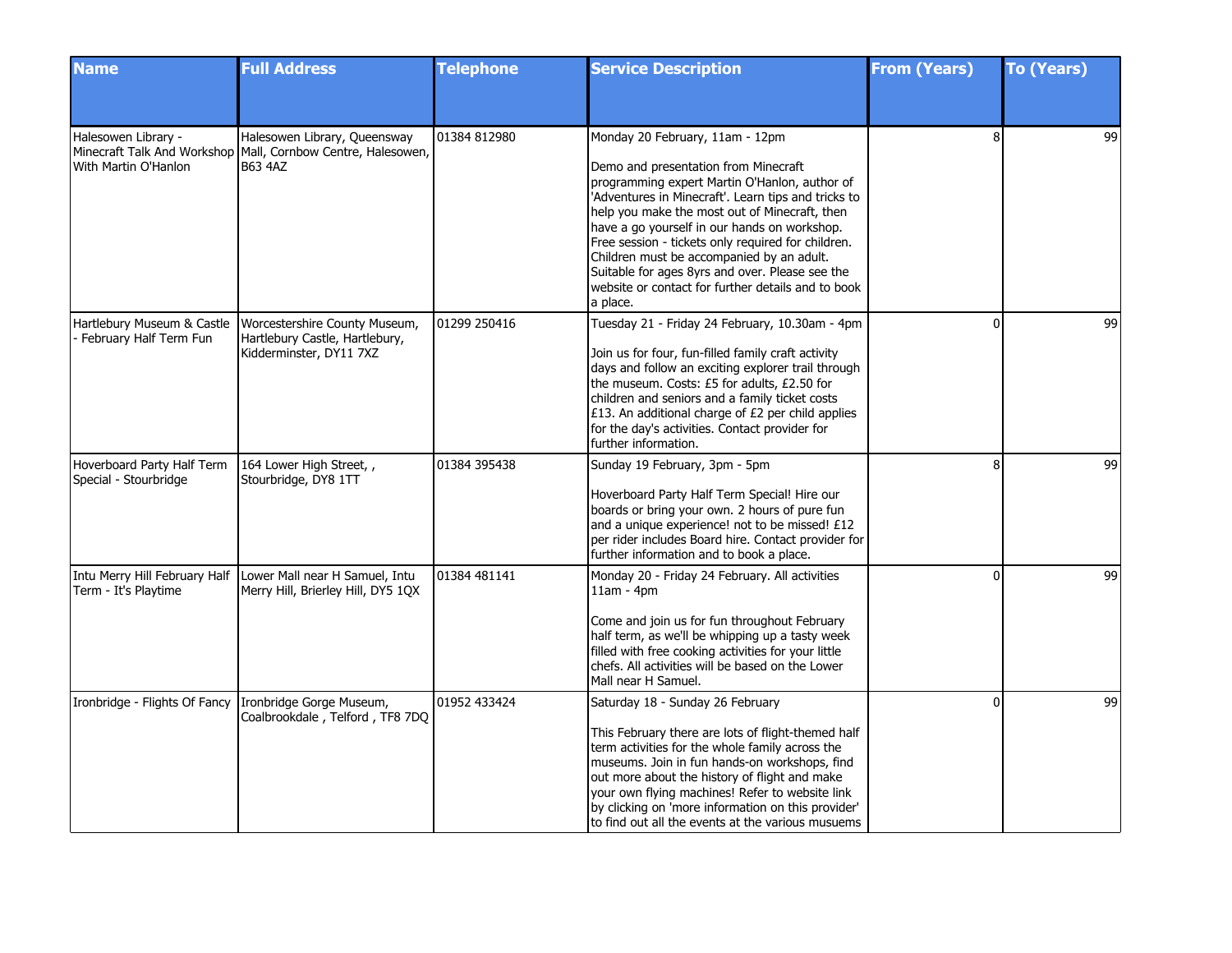| <b>Name</b>                                            | <b>Full Address</b>                                                                                            | <b>Telephone</b> | <b>Service Description</b>                                                                                                                                                                                                                                                                                                                                                                                                                                                                               | <b>From (Years)</b> | <b>To (Years)</b> |
|--------------------------------------------------------|----------------------------------------------------------------------------------------------------------------|------------------|----------------------------------------------------------------------------------------------------------------------------------------------------------------------------------------------------------------------------------------------------------------------------------------------------------------------------------------------------------------------------------------------------------------------------------------------------------------------------------------------------------|---------------------|-------------------|
|                                                        |                                                                                                                |                  |                                                                                                                                                                                                                                                                                                                                                                                                                                                                                                          |                     |                   |
| Halesowen Library -<br>With Martin O'Hanlon            | Halesowen Library, Queensway<br>Minecraft Talk And Workshop Mall, Cornbow Centre, Halesowen,<br><b>B63 4AZ</b> | 01384 812980     | Monday 20 February, 11am - 12pm<br>Demo and presentation from Minecraft<br>programming expert Martin O'Hanlon, author of<br>'Adventures in Minecraft'. Learn tips and tricks to<br>help you make the most out of Minecraft, then<br>have a go yourself in our hands on workshop.<br>Free session - tickets only required for children.<br>Children must be accompanied by an adult.<br>Suitable for ages 8yrs and over. Please see the<br>website or contact for further details and to book<br>a place. | 8                   | 99                |
| Hartlebury Museum & Castle<br>- February Half Term Fun | Worcestershire County Museum,<br>Hartlebury Castle, Hartlebury,<br>Kidderminster, DY11 7XZ                     | 01299 250416     | Tuesday 21 - Friday 24 February, 10.30am - 4pm<br>Join us for four, fun-filled family craft activity<br>days and follow an exciting explorer trail through<br>the museum. Costs: £5 for adults, £2.50 for<br>children and seniors and a family ticket costs<br>£13. An additional charge of £2 per child applies<br>for the day's activities. Contact provider for<br>further information.                                                                                                               | $\Omega$            | 99                |
| Hoverboard Party Half Term<br>Special - Stourbridge    | 164 Lower High Street, ,<br>Stourbridge, DY8 1TT                                                               | 01384 395438     | Sunday 19 February, 3pm - 5pm<br>Hoverboard Party Half Term Special! Hire our<br>boards or bring your own. 2 hours of pure fun<br>and a unique experience! not to be missed! £12<br>per rider includes Board hire. Contact provider for<br>further information and to book a place.                                                                                                                                                                                                                      | Я                   | 99                |
| Term - It's Playtime                                   | Intu Merry Hill February Half Lower Mall near H Samuel, Intu<br>Merry Hill, Brierley Hill, DY5 1QX             | 01384 481141     | Monday 20 - Friday 24 February. All activities<br>$11am - 4pm$<br>Come and join us for fun throughout February<br>half term, as we'll be whipping up a tasty week<br>filled with free cooking activities for your little<br>chefs. All activities will be based on the Lower<br>Mall near H Samuel.                                                                                                                                                                                                      | $\Omega$            | 99                |
| Ironbridge - Flights Of Fancy Ironbridge Gorge Museum, | Coalbrookdale, Telford, TF8 7DQ                                                                                | 01952 433424     | Saturday 18 - Sunday 26 February<br>This February there are lots of flight-themed half<br>term activities for the whole family across the<br>museums. Join in fun hands-on workshops, find<br>out more about the history of flight and make<br>your own flying machines! Refer to website link<br>by clicking on 'more information on this provider'<br>to find out all the events at the various musuems                                                                                                | $\Omega$            | 99                |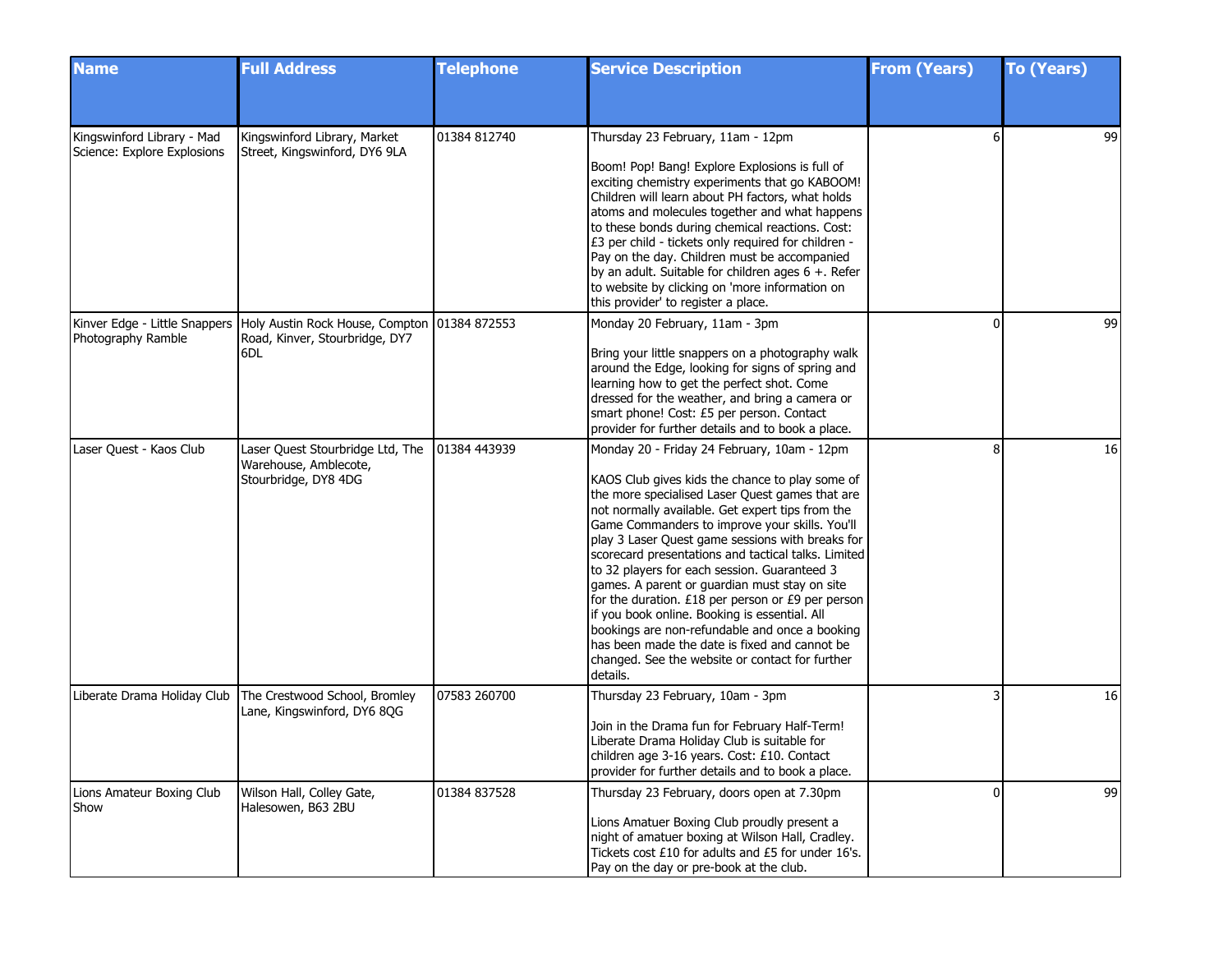| <b>Name</b>                                               | <b>Full Address</b>                                                                                                     | <b>Telephone</b> | <b>Service Description</b>                                                                                                                                                                                                                                                                                                                                                                                                                                                                                                                                                                                                                                                                                                                      | <b>From (Years)</b> | <b>To (Years)</b> |
|-----------------------------------------------------------|-------------------------------------------------------------------------------------------------------------------------|------------------|-------------------------------------------------------------------------------------------------------------------------------------------------------------------------------------------------------------------------------------------------------------------------------------------------------------------------------------------------------------------------------------------------------------------------------------------------------------------------------------------------------------------------------------------------------------------------------------------------------------------------------------------------------------------------------------------------------------------------------------------------|---------------------|-------------------|
|                                                           |                                                                                                                         |                  |                                                                                                                                                                                                                                                                                                                                                                                                                                                                                                                                                                                                                                                                                                                                                 |                     |                   |
| Kingswinford Library - Mad<br>Science: Explore Explosions | Kingswinford Library, Market<br>Street, Kingswinford, DY6 9LA                                                           | 01384 812740     | Thursday 23 February, 11am - 12pm<br>Boom! Pop! Bang! Explore Explosions is full of<br>exciting chemistry experiments that go KABOOM!<br>Children will learn about PH factors, what holds<br>atoms and molecules together and what happens<br>to these bonds during chemical reactions. Cost:<br>£3 per child - tickets only required for children -<br>Pay on the day. Children must be accompanied<br>by an adult. Suitable for children ages 6 +. Refer<br>to website by clicking on 'more information on<br>this provider' to register a place.                                                                                                                                                                                             | 6                   | 99                |
| Photography Ramble                                        | Kinver Edge - Little Snappers   Holy Austin Rock House, Compton   01384 872553<br>Road, Kinver, Stourbridge, DY7<br>6DL |                  | Monday 20 February, 11am - 3pm<br>Bring your little snappers on a photography walk<br>around the Edge, looking for signs of spring and<br>learning how to get the perfect shot. Come<br>dressed for the weather, and bring a camera or<br>smart phone! Cost: £5 per person. Contact<br>provider for further details and to book a place.                                                                                                                                                                                                                                                                                                                                                                                                        | $\Omega$            | 99                |
| Laser Quest - Kaos Club                                   | Laser Quest Stourbridge Ltd, The<br>Warehouse, Amblecote,<br>Stourbridge, DY8 4DG                                       | 01384 443939     | Monday 20 - Friday 24 February, 10am - 12pm<br>KAOS Club gives kids the chance to play some of<br>the more specialised Laser Quest games that are<br>not normally available. Get expert tips from the<br>Game Commanders to improve your skills. You'll<br>play 3 Laser Quest game sessions with breaks for<br>scorecard presentations and tactical talks. Limited<br>to 32 players for each session. Guaranteed 3<br>games. A parent or guardian must stay on site<br>for the duration. $£18$ per person or $£9$ per person<br>if you book online. Booking is essential. All<br>bookings are non-refundable and once a booking<br>has been made the date is fixed and cannot be<br>changed. See the website or contact for further<br>details. | 8                   | 16                |
| Liberate Drama Holiday Club                               | The Crestwood School, Bromley<br>Lane, Kingswinford, DY6 8QG                                                            | 07583 260700     | Thursday 23 February, 10am - 3pm<br>Join in the Drama fun for February Half-Term!<br>Liberate Drama Holiday Club is suitable for<br>children age 3-16 years. Cost: £10. Contact<br>provider for further details and to book a place.                                                                                                                                                                                                                                                                                                                                                                                                                                                                                                            |                     | 16                |
| Lions Amateur Boxing Club<br>Show                         | Wilson Hall, Colley Gate,<br>Halesowen, B63 2BU                                                                         | 01384 837528     | Thursday 23 February, doors open at 7.30pm<br>Lions Amatuer Boxing Club proudly present a<br>night of amatuer boxing at Wilson Hall, Cradley.<br>Tickets cost £10 for adults and £5 for under 16's.<br>Pay on the day or pre-book at the club.                                                                                                                                                                                                                                                                                                                                                                                                                                                                                                  | $\Omega$            | 99                |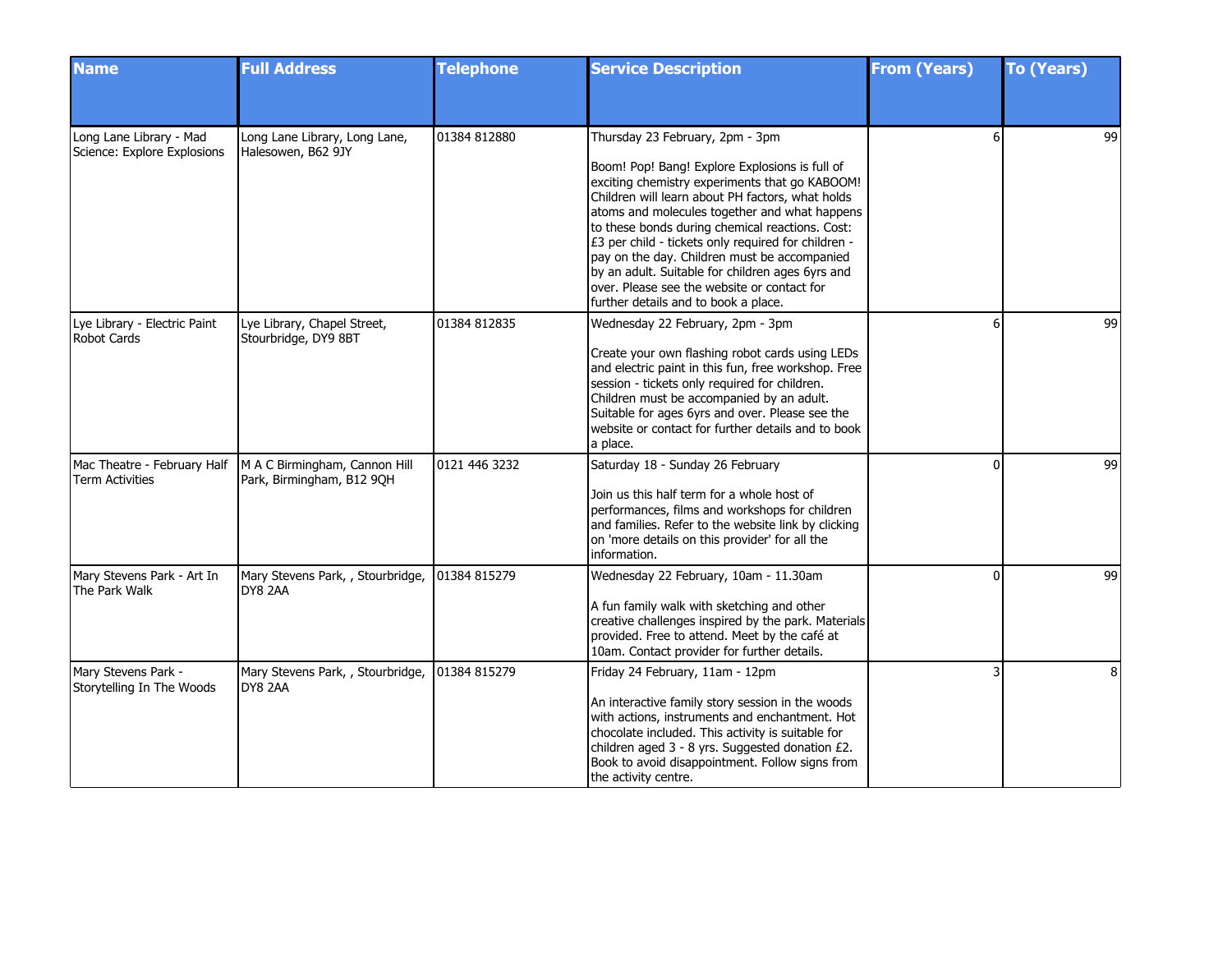| <b>Name</b>                                            | <b>Full Address</b>                                        | <b>Telephone</b> | <b>Service Description</b>                                                                                                                                                                                                                                                                                                                                                                                                                                                                                                                    | <b>From (Years)</b> | <b>To (Years)</b> |
|--------------------------------------------------------|------------------------------------------------------------|------------------|-----------------------------------------------------------------------------------------------------------------------------------------------------------------------------------------------------------------------------------------------------------------------------------------------------------------------------------------------------------------------------------------------------------------------------------------------------------------------------------------------------------------------------------------------|---------------------|-------------------|
|                                                        |                                                            |                  |                                                                                                                                                                                                                                                                                                                                                                                                                                                                                                                                               |                     |                   |
| Long Lane Library - Mad<br>Science: Explore Explosions | Long Lane Library, Long Lane,<br>Halesowen, B62 9JY        | 01384 812880     | Thursday 23 February, 2pm - 3pm<br>Boom! Pop! Bang! Explore Explosions is full of<br>exciting chemistry experiments that go KABOOM!<br>Children will learn about PH factors, what holds<br>atoms and molecules together and what happens<br>to these bonds during chemical reactions. Cost:<br>£3 per child - tickets only required for children -<br>pay on the day. Children must be accompanied<br>by an adult. Suitable for children ages 6yrs and<br>over. Please see the website or contact for<br>further details and to book a place. |                     | 99                |
| Lye Library - Electric Paint<br><b>Robot Cards</b>     | Lye Library, Chapel Street,<br>Stourbridge, DY9 8BT        | 01384 812835     | Wednesday 22 February, 2pm - 3pm<br>Create your own flashing robot cards using LEDs<br>and electric paint in this fun, free workshop. Free<br>session - tickets only required for children.<br>Children must be accompanied by an adult.<br>Suitable for ages 6yrs and over. Please see the<br>website or contact for further details and to book<br>a place.                                                                                                                                                                                 |                     | 99                |
| Mac Theatre - February Half<br><b>Term Activities</b>  | M A C Birmingham, Cannon Hill<br>Park, Birmingham, B12 9QH | 0121 446 3232    | Saturday 18 - Sunday 26 February<br>Join us this half term for a whole host of<br>performances, films and workshops for children<br>and families. Refer to the website link by clicking<br>on 'more details on this provider' for all the<br>information.                                                                                                                                                                                                                                                                                     | $\Omega$            | 99                |
| Mary Stevens Park - Art In<br>The Park Walk            | Mary Stevens Park, , Stourbridge,<br>DY8 2AA               | 01384 815279     | Wednesday 22 February, 10am - 11.30am<br>A fun family walk with sketching and other<br>creative challenges inspired by the park. Materials<br>provided. Free to attend. Meet by the café at<br>10am. Contact provider for further details.                                                                                                                                                                                                                                                                                                    | O                   | 99                |
| Mary Stevens Park -<br>Storytelling In The Woods       | Mary Stevens Park, , Stourbridge,<br>DY8 2AA               | 01384 815279     | Friday 24 February, 11am - 12pm<br>An interactive family story session in the woods<br>with actions, instruments and enchantment. Hot<br>chocolate included. This activity is suitable for<br>children aged 3 - 8 yrs. Suggested donation £2.<br>Book to avoid disappointment. Follow signs from<br>the activity centre.                                                                                                                                                                                                                      |                     | 8                 |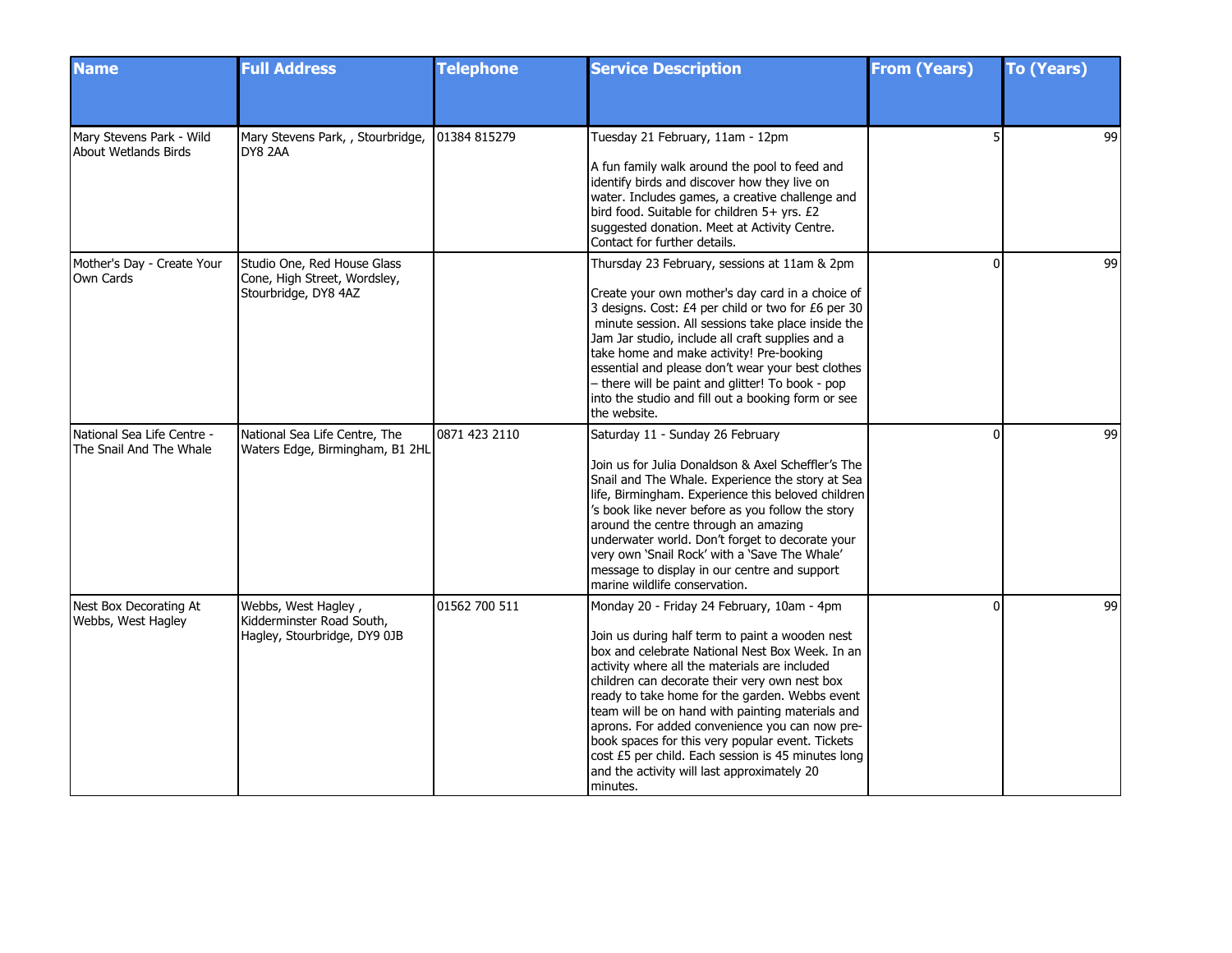| <b>Name</b>                                           | <b>Full Address</b>                                                                 | <b>Telephone</b> | <b>Service Description</b>                                                                                                                                                                                                                                                                                                                                                                                                                                                                                                                                                      | <b>From (Years)</b> | <b>To (Years)</b> |
|-------------------------------------------------------|-------------------------------------------------------------------------------------|------------------|---------------------------------------------------------------------------------------------------------------------------------------------------------------------------------------------------------------------------------------------------------------------------------------------------------------------------------------------------------------------------------------------------------------------------------------------------------------------------------------------------------------------------------------------------------------------------------|---------------------|-------------------|
|                                                       |                                                                                     |                  |                                                                                                                                                                                                                                                                                                                                                                                                                                                                                                                                                                                 |                     |                   |
| Mary Stevens Park - Wild<br>About Wetlands Birds      | Mary Stevens Park, , Stourbridge,<br>DY8 2AA                                        | 01384 815279     | Tuesday 21 February, 11am - 12pm<br>A fun family walk around the pool to feed and<br>identify birds and discover how they live on<br>water. Includes games, a creative challenge and<br>bird food. Suitable for children 5+ yrs. £2<br>suggested donation. Meet at Activity Centre.<br>Contact for further details.                                                                                                                                                                                                                                                             |                     | 99                |
| Mother's Day - Create Your<br>Own Cards               | Studio One, Red House Glass<br>Cone, High Street, Wordsley,<br>Stourbridge, DY8 4AZ |                  | Thursday 23 February, sessions at 11am & 2pm<br>Create your own mother's day card in a choice of<br>3 designs. Cost: £4 per child or two for £6 per 30<br>minute session. All sessions take place inside the<br>Jam Jar studio, include all craft supplies and a<br>take home and make activity! Pre-booking<br>essential and please don't wear your best clothes<br>- there will be paint and glitter! To book - pop<br>into the studio and fill out a booking form or see<br>the website.                                                                                     | $\Omega$            | 99                |
| National Sea Life Centre -<br>The Snail And The Whale | National Sea Life Centre, The<br>Waters Edge, Birmingham, B1 2HL                    | 0871 423 2110    | Saturday 11 - Sunday 26 February<br>Join us for Julia Donaldson & Axel Scheffler's The<br>Snail and The Whale. Experience the story at Sea<br>life, Birmingham. Experience this beloved children<br>'s book like never before as you follow the story<br>around the centre through an amazing<br>underwater world. Don't forget to decorate your<br>very own 'Snail Rock' with a 'Save The Whale'<br>message to display in our centre and support<br>marine wildlife conservation.                                                                                              | 0                   | 99                |
| Nest Box Decorating At<br>Webbs, West Hagley          | Webbs, West Hagley,<br>Kidderminster Road South,<br>Hagley, Stourbridge, DY9 0JB    | 01562 700 511    | Monday 20 - Friday 24 February, 10am - 4pm<br>Join us during half term to paint a wooden nest<br>box and celebrate National Nest Box Week. In an<br>activity where all the materials are included<br>children can decorate their very own nest box<br>ready to take home for the garden. Webbs event<br>team will be on hand with painting materials and<br>aprons. For added convenience you can now pre-<br>book spaces for this very popular event. Tickets<br>cost £5 per child. Each session is 45 minutes long<br>and the activity will last approximately 20<br>minutes. | $\Omega$            | 99                |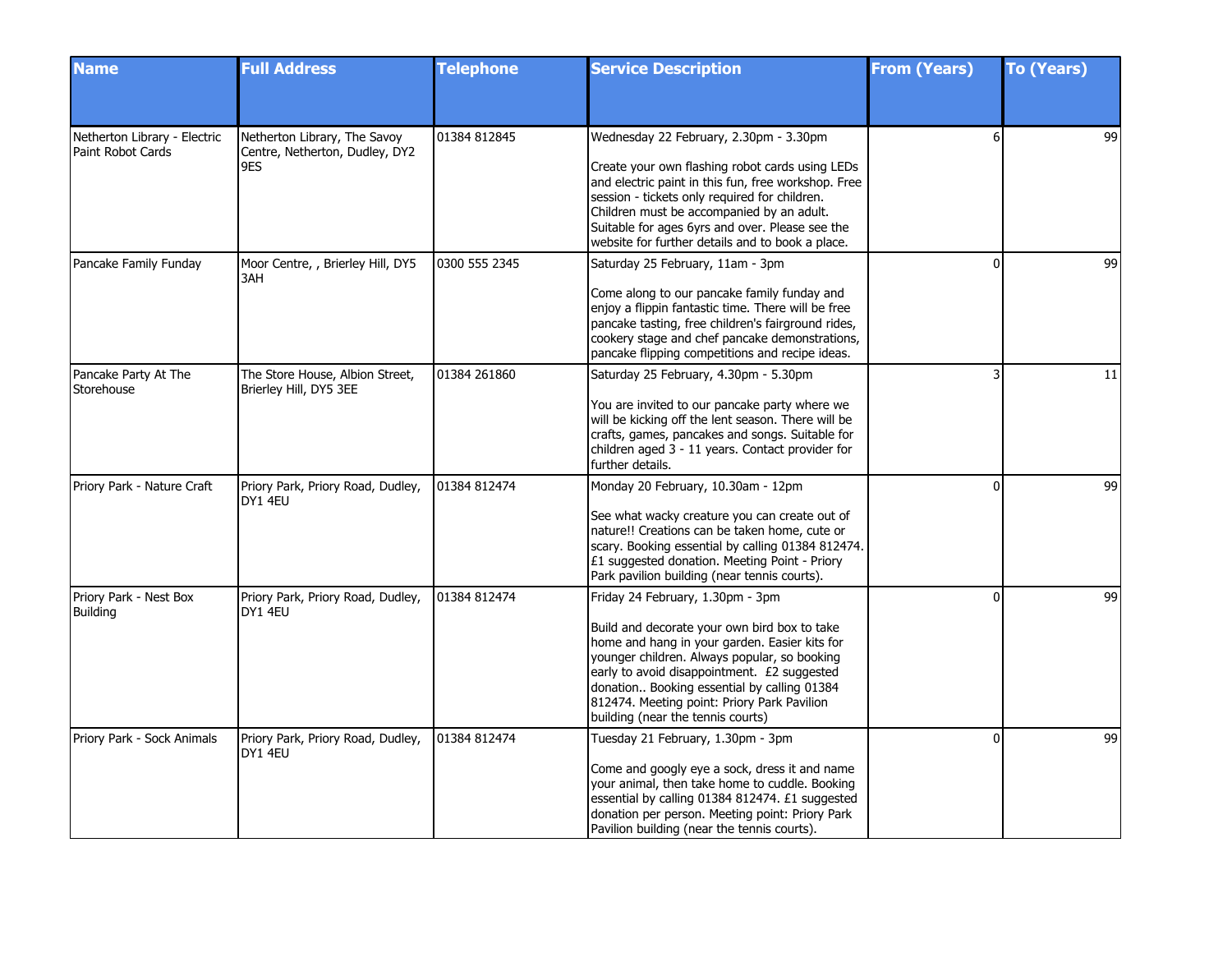| <b>Name</b>                                       | <b>Full Address</b>                                                   | <b>Telephone</b> | <b>Service Description</b>                                                                                                                                                                                                                                                                                                                                          | <b>From (Years)</b> | <b>To (Years)</b> |
|---------------------------------------------------|-----------------------------------------------------------------------|------------------|---------------------------------------------------------------------------------------------------------------------------------------------------------------------------------------------------------------------------------------------------------------------------------------------------------------------------------------------------------------------|---------------------|-------------------|
|                                                   |                                                                       |                  |                                                                                                                                                                                                                                                                                                                                                                     |                     |                   |
| Netherton Library - Electric<br>Paint Robot Cards | Netherton Library, The Savoy<br>Centre, Netherton, Dudley, DY2<br>9ES | 01384 812845     | Wednesday 22 February, 2.30pm - 3.30pm<br>Create your own flashing robot cards using LEDs<br>and electric paint in this fun, free workshop. Free<br>session - tickets only required for children.<br>Children must be accompanied by an adult.<br>Suitable for ages 6yrs and over. Please see the<br>website for further details and to book a place.               |                     | 99                |
| Pancake Family Funday                             | Moor Centre, , Brierley Hill, DY5<br>3AH                              | 0300 555 2345    | Saturday 25 February, 11am - 3pm<br>Come along to our pancake family funday and<br>enjoy a flippin fantastic time. There will be free<br>pancake tasting, free children's fairground rides,<br>cookery stage and chef pancake demonstrations,<br>pancake flipping competitions and recipe ideas.                                                                    | O                   | 99                |
| Pancake Party At The<br>Storehouse                | The Store House, Albion Street,<br>Brierley Hill, DY5 3EE             | 01384 261860     | Saturday 25 February, 4.30pm - 5.30pm<br>You are invited to our pancake party where we<br>will be kicking off the lent season. There will be<br>crafts, games, pancakes and songs. Suitable for<br>children aged 3 - 11 years. Contact provider for<br>further details.                                                                                             |                     | 11                |
| Priory Park - Nature Craft                        | Priory Park, Priory Road, Dudley,<br>DY1 4EU                          | 01384 812474     | Monday 20 February, 10.30am - 12pm<br>See what wacky creature you can create out of<br>nature!! Creations can be taken home, cute or<br>scary. Booking essential by calling 01384 812474.<br>£1 suggested donation. Meeting Point - Priory<br>Park pavilion building (near tennis courts).                                                                          | $\Omega$            | 99                |
| Priory Park - Nest Box<br>Building                | Priory Park, Priory Road, Dudley,<br>DY1 4EU                          | 01384 812474     | Friday 24 February, 1.30pm - 3pm<br>Build and decorate your own bird box to take<br>home and hang in your garden. Easier kits for<br>younger children. Always popular, so booking<br>early to avoid disappointment. £2 suggested<br>donation Booking essential by calling 01384<br>812474. Meeting point: Priory Park Pavilion<br>building (near the tennis courts) | $\Omega$            | 99                |
| Priory Park - Sock Animals                        | Priory Park, Priory Road, Dudley,<br>DY1 4EU                          | 01384 812474     | Tuesday 21 February, 1.30pm - 3pm<br>Come and googly eye a sock, dress it and name<br>your animal, then take home to cuddle. Booking<br>essential by calling 01384 812474. £1 suggested<br>donation per person. Meeting point: Priory Park<br>Pavilion building (near the tennis courts).                                                                           | ŋ                   | 99                |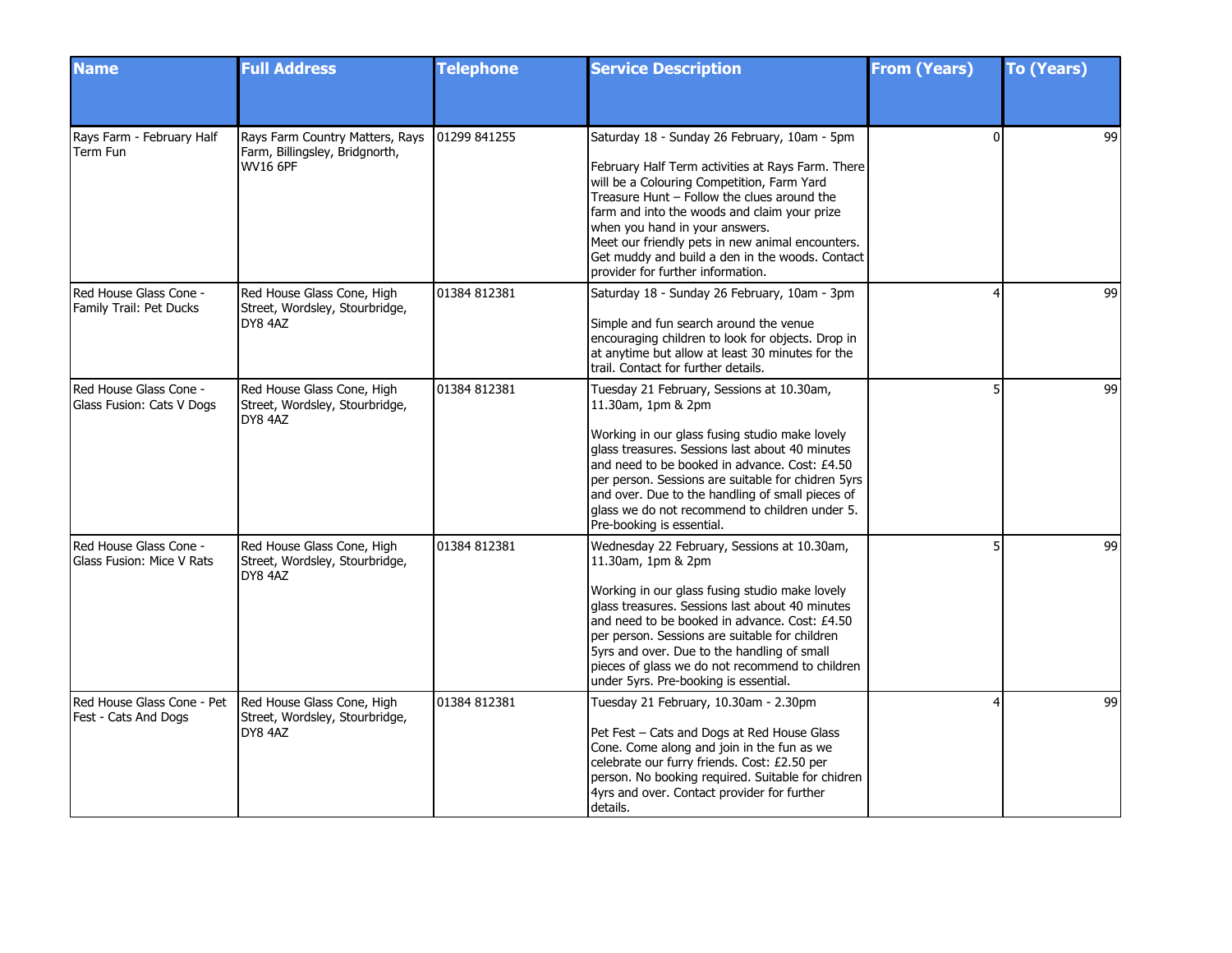| <b>Name</b>                                         | <b>Full Address</b>                                                                  | <b>Telephone</b> | <b>Service Description</b>                                                                                                                                                                                                                                                                                                                                                                                                   | <b>From (Years)</b> | <b>To (Years)</b> |
|-----------------------------------------------------|--------------------------------------------------------------------------------------|------------------|------------------------------------------------------------------------------------------------------------------------------------------------------------------------------------------------------------------------------------------------------------------------------------------------------------------------------------------------------------------------------------------------------------------------------|---------------------|-------------------|
|                                                     |                                                                                      |                  |                                                                                                                                                                                                                                                                                                                                                                                                                              |                     |                   |
| Rays Farm - February Half<br>Term Fun               | Rays Farm Country Matters, Rays<br>Farm, Billingsley, Bridgnorth,<br><b>WV16 6PF</b> | 01299 841255     | Saturday 18 - Sunday 26 February, 10am - 5pm<br>February Half Term activities at Rays Farm. There<br>will be a Colouring Competition, Farm Yard<br>Treasure Hunt - Follow the clues around the<br>farm and into the woods and claim your prize<br>when you hand in your answers.<br>Meet our friendly pets in new animal encounters.<br>Get muddy and build a den in the woods. Contact<br>provider for further information. | $\Omega$            | 99                |
| Red House Glass Cone -<br>Family Trail: Pet Ducks   | Red House Glass Cone, High<br>Street, Wordsley, Stourbridge,<br>DY8 4AZ              | 01384 812381     | Saturday 18 - Sunday 26 February, 10am - 3pm<br>Simple and fun search around the venue<br>encouraging children to look for objects. Drop in<br>at anytime but allow at least 30 minutes for the<br>trail. Contact for further details.                                                                                                                                                                                       |                     | 99                |
| Red House Glass Cone -<br>Glass Fusion: Cats V Dogs | Red House Glass Cone, High<br>Street, Wordsley, Stourbridge,<br>DY8 4AZ              | 01384 812381     | Tuesday 21 February, Sessions at 10.30am,<br>11.30am, 1pm & 2pm<br>Working in our glass fusing studio make lovely<br>glass treasures. Sessions last about 40 minutes<br>and need to be booked in advance. Cost: £4.50<br>per person. Sessions are suitable for chidren 5yrs<br>and over. Due to the handling of small pieces of<br>glass we do not recommend to children under 5.<br>Pre-booking is essential.               | 5                   | 99                |
| Red House Glass Cone -<br>Glass Fusion: Mice V Rats | Red House Glass Cone, High<br>Street, Wordsley, Stourbridge,<br>DY8 4AZ              | 01384 812381     | Wednesday 22 February, Sessions at 10.30am,<br>11.30am, 1pm & 2pm<br>Working in our glass fusing studio make lovely<br>glass treasures. Sessions last about 40 minutes<br>and need to be booked in advance. Cost: £4.50<br>per person. Sessions are suitable for children<br>5yrs and over. Due to the handling of small<br>pieces of glass we do not recommend to children<br>under 5yrs. Pre-booking is essential.         |                     | 99                |
| Red House Glass Cone - Pet<br>Fest - Cats And Dogs  | Red House Glass Cone, High<br>Street, Wordsley, Stourbridge,<br>DY8 4AZ              | 01384 812381     | Tuesday 21 February, 10.30am - 2.30pm<br>Pet Fest - Cats and Dogs at Red House Glass<br>Cone. Come along and join in the fun as we<br>celebrate our furry friends. Cost: £2.50 per<br>person. No booking required. Suitable for chidren<br>4yrs and over. Contact provider for further<br>details.                                                                                                                           |                     | 99                |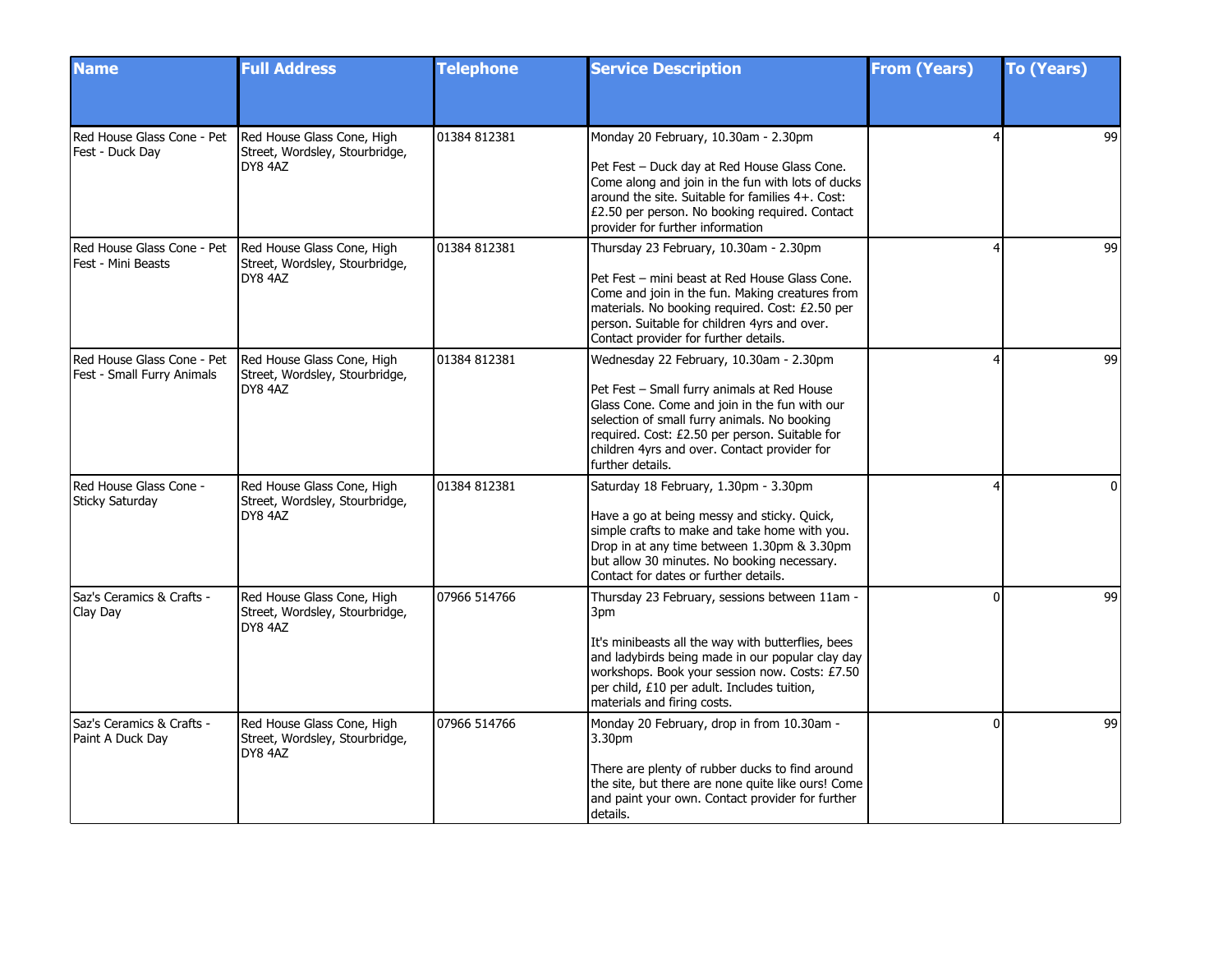| <b>Name</b>                                              | <b>Full Address</b>                                                     | <b>Telephone</b> | <b>Service Description</b>                                                                                                                                                                                                                                                                                    | <b>From (Years)</b> | <b>To (Years)</b> |
|----------------------------------------------------------|-------------------------------------------------------------------------|------------------|---------------------------------------------------------------------------------------------------------------------------------------------------------------------------------------------------------------------------------------------------------------------------------------------------------------|---------------------|-------------------|
|                                                          |                                                                         |                  |                                                                                                                                                                                                                                                                                                               |                     |                   |
| Red House Glass Cone - Pet<br>Fest - Duck Day            | Red House Glass Cone, High<br>Street, Wordsley, Stourbridge,<br>DY8 4AZ | 01384 812381     | Monday 20 February, 10.30am - 2.30pm<br>Pet Fest - Duck day at Red House Glass Cone.<br>Come along and join in the fun with lots of ducks<br>around the site. Suitable for families 4+. Cost:<br>£2.50 per person. No booking required. Contact<br>provider for further information                           |                     | 99                |
| Red House Glass Cone - Pet<br>Fest - Mini Beasts         | Red House Glass Cone, High<br>Street, Wordsley, Stourbridge,<br>DY8 4AZ | 01384 812381     | Thursday 23 February, 10.30am - 2.30pm<br>Pet Fest - mini beast at Red House Glass Cone.<br>Come and join in the fun. Making creatures from<br>materials. No booking required. Cost: £2.50 per<br>person. Suitable for children 4yrs and over.<br>Contact provider for further details.                       | 4                   | 99                |
| Red House Glass Cone - Pet<br>Fest - Small Furry Animals | Red House Glass Cone, High<br>Street, Wordsley, Stourbridge,<br>DY8 4AZ | 01384 812381     | Wednesday 22 February, 10.30am - 2.30pm<br>Pet Fest - Small furry animals at Red House<br>Glass Cone. Come and join in the fun with our<br>selection of small furry animals. No booking<br>required. Cost: £2.50 per person. Suitable for<br>children 4yrs and over. Contact provider for<br>further details. |                     | 99                |
| Red House Glass Cone -<br>Sticky Saturday                | Red House Glass Cone, High<br>Street, Wordsley, Stourbridge,<br>DY8 4AZ | 01384 812381     | Saturday 18 February, 1.30pm - 3.30pm<br>Have a go at being messy and sticky. Quick,<br>simple crafts to make and take home with you.<br>Drop in at any time between 1.30pm & 3.30pm<br>but allow 30 minutes. No booking necessary.<br>Contact for dates or further details.                                  |                     | $\Omega$          |
| Saz's Ceramics & Crafts -<br>Clay Day                    | Red House Glass Cone, High<br>Street, Wordsley, Stourbridge,<br>DY8 4AZ | 07966 514766     | Thursday 23 February, sessions between 11am -<br>3pm<br>It's minibeasts all the way with butterflies, bees<br>and ladybirds being made in our popular clay day<br>workshops. Book your session now. Costs: £7.50<br>per child, £10 per adult. Includes tuition,<br>materials and firing costs.                | <sup>n</sup>        | 99                |
| Saz's Ceramics & Crafts -<br>Paint A Duck Day            | Red House Glass Cone, High<br>Street, Wordsley, Stourbridge,<br>DY8 4AZ | 07966 514766     | Monday 20 February, drop in from 10.30am -<br>3.30 <sub>pm</sub><br>There are plenty of rubber ducks to find around<br>the site, but there are none quite like ours! Come<br>and paint your own. Contact provider for further<br>details.                                                                     | U                   | 99                |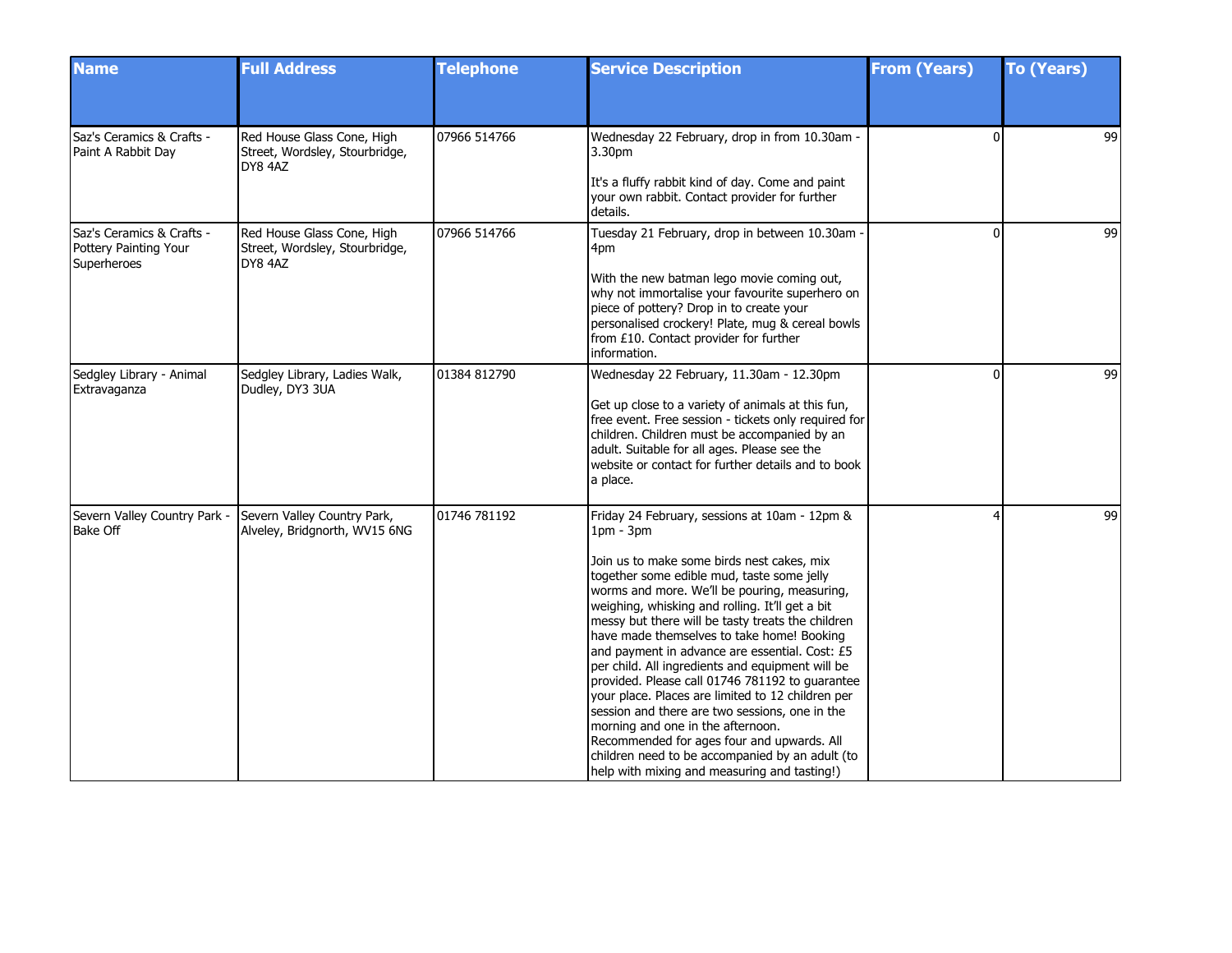| <b>Name</b>                                                              | <b>Full Address</b>                                                     | <b>Telephone</b> | <b>Service Description</b>                                                                                                                                                                                                                                                                                                                                                                                                                                                                                                                                                                                                                                                                                                                                                                                           | <b>From (Years)</b> | <b>To (Years)</b> |
|--------------------------------------------------------------------------|-------------------------------------------------------------------------|------------------|----------------------------------------------------------------------------------------------------------------------------------------------------------------------------------------------------------------------------------------------------------------------------------------------------------------------------------------------------------------------------------------------------------------------------------------------------------------------------------------------------------------------------------------------------------------------------------------------------------------------------------------------------------------------------------------------------------------------------------------------------------------------------------------------------------------------|---------------------|-------------------|
|                                                                          |                                                                         |                  |                                                                                                                                                                                                                                                                                                                                                                                                                                                                                                                                                                                                                                                                                                                                                                                                                      |                     |                   |
| Saz's Ceramics & Crafts -<br>Paint A Rabbit Day                          | Red House Glass Cone, High<br>Street, Wordsley, Stourbridge,<br>DY8 4AZ | 07966 514766     | Wednesday 22 February, drop in from 10.30am -<br>3.30pm<br>It's a fluffy rabbit kind of day. Come and paint<br>your own rabbit. Contact provider for further<br>details.                                                                                                                                                                                                                                                                                                                                                                                                                                                                                                                                                                                                                                             | $\Omega$            | 99                |
| Saz's Ceramics & Crafts -<br>Pottery Painting Your<br><b>Superheroes</b> | Red House Glass Cone, High<br>Street, Wordsley, Stourbridge,<br>DY8 4AZ | 07966 514766     | Tuesday 21 February, drop in between 10.30am -<br>4pm<br>With the new batman lego movie coming out,<br>why not immortalise your favourite superhero on<br>piece of pottery? Drop in to create your<br>personalised crockery! Plate, mug & cereal bowls<br>from £10. Contact provider for further<br>information.                                                                                                                                                                                                                                                                                                                                                                                                                                                                                                     | $\Omega$            | 99                |
| Sedgley Library - Animal<br>Extravaganza                                 | Sedgley Library, Ladies Walk,<br>Dudley, DY3 3UA                        | 01384 812790     | Wednesday 22 February, 11.30am - 12.30pm<br>Get up close to a variety of animals at this fun,<br>free event. Free session - tickets only required for<br>children. Children must be accompanied by an<br>adult. Suitable for all ages. Please see the<br>website or contact for further details and to book<br>a place.                                                                                                                                                                                                                                                                                                                                                                                                                                                                                              | $\Omega$            | 99                |
| Severn Valley Country Park -<br>Bake Off                                 | Severn Valley Country Park,<br>Alveley, Bridgnorth, WV15 6NG            | 01746 781192     | Friday 24 February, sessions at 10am - 12pm &<br>$1pm - 3pm$<br>Join us to make some birds nest cakes, mix<br>together some edible mud, taste some jelly<br>worms and more. We'll be pouring, measuring,<br>weighing, whisking and rolling. It'll get a bit<br>messy but there will be tasty treats the children<br>have made themselves to take home! Booking<br>and payment in advance are essential. Cost: £5<br>per child. All ingredients and equipment will be<br>provided. Please call 01746 781192 to quarantee<br>your place. Places are limited to 12 children per<br>session and there are two sessions, one in the<br>morning and one in the afternoon.<br>Recommended for ages four and upwards. All<br>children need to be accompanied by an adult (to<br>help with mixing and measuring and tasting!) | 4                   | 99                |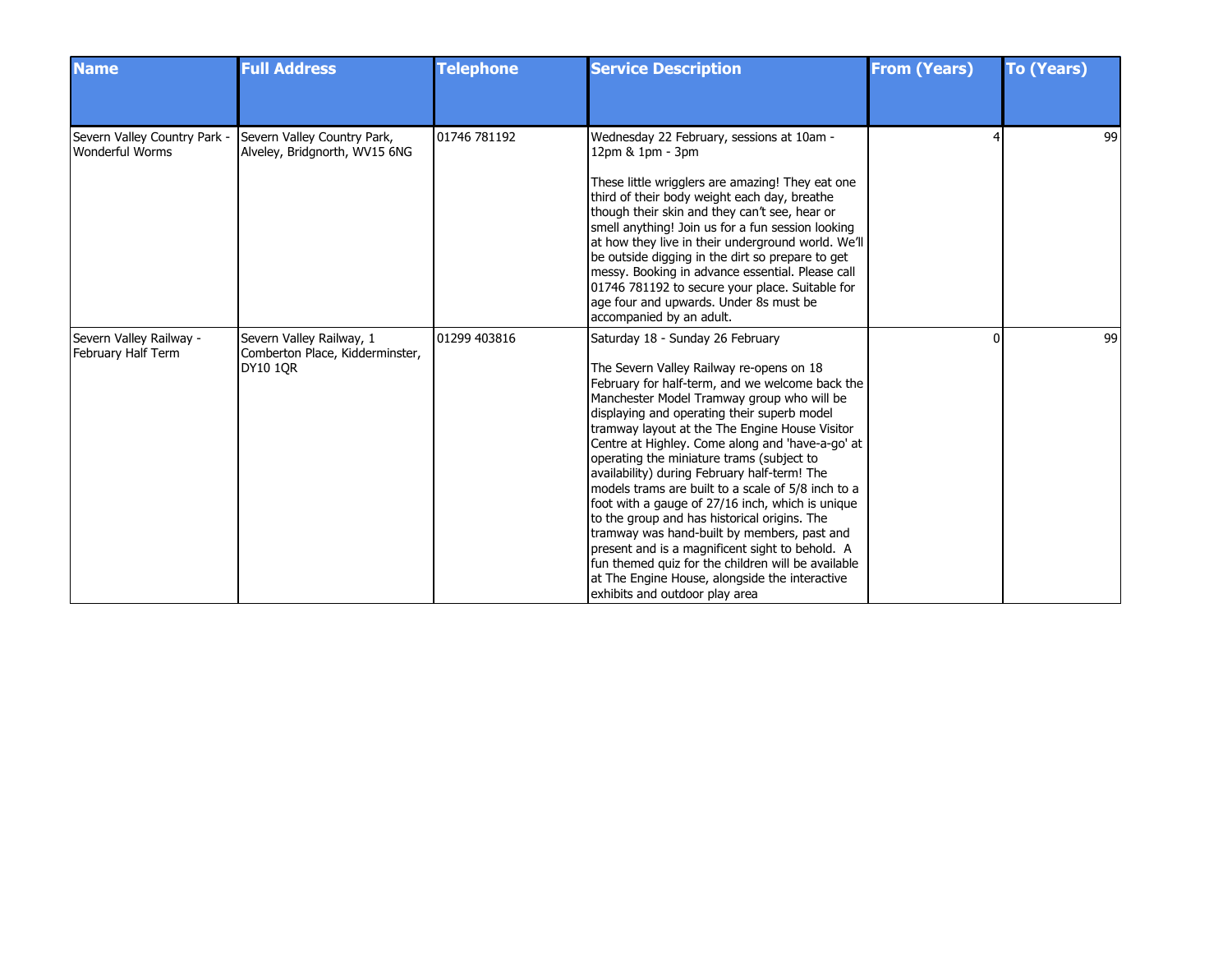| <b>Name</b>                                     | <b>Full Address</b>                                                            | <b>Telephone</b> | <b>Service Description</b>                                                                                                                                                                                                                                                                                                                                                                                                                                                                                                                                                                                                                                                                                                                                                                                                                                        | <b>From (Years)</b> | <b>To (Years)</b> |
|-------------------------------------------------|--------------------------------------------------------------------------------|------------------|-------------------------------------------------------------------------------------------------------------------------------------------------------------------------------------------------------------------------------------------------------------------------------------------------------------------------------------------------------------------------------------------------------------------------------------------------------------------------------------------------------------------------------------------------------------------------------------------------------------------------------------------------------------------------------------------------------------------------------------------------------------------------------------------------------------------------------------------------------------------|---------------------|-------------------|
| Severn Valley Country Park -<br>Wonderful Worms | Severn Valley Country Park,<br>Alveley, Bridgnorth, WV15 6NG                   | 01746 781192     | Wednesday 22 February, sessions at 10am -<br>12pm & 1pm - 3pm<br>These little wrigglers are amazing! They eat one<br>third of their body weight each day, breathe<br>though their skin and they can't see, hear or<br>smell anything! Join us for a fun session looking<br>at how they live in their underground world. We'll<br>be outside digging in the dirt so prepare to get<br>messy. Booking in advance essential. Please call<br>01746 781192 to secure your place. Suitable for<br>age four and upwards. Under 8s must be                                                                                                                                                                                                                                                                                                                                |                     | 99                |
| Severn Valley Railway -<br>February Half Term   | Severn Valley Railway, 1<br>Comberton Place, Kidderminster,<br><b>DY10 1OR</b> | 01299 403816     | accompanied by an adult.<br>Saturday 18 - Sunday 26 February<br>The Severn Valley Railway re-opens on 18<br>February for half-term, and we welcome back the<br>Manchester Model Tramway group who will be<br>displaying and operating their superb model<br>tramway layout at the The Engine House Visitor<br>Centre at Highley. Come along and 'have-a-go' at<br>operating the miniature trams (subject to<br>availability) during February half-term! The<br>models trams are built to a scale of 5/8 inch to a<br>foot with a gauge of 27/16 inch, which is unique<br>to the group and has historical origins. The<br>tramway was hand-built by members, past and<br>present and is a magnificent sight to behold. A<br>fun themed quiz for the children will be available<br>at The Engine House, alongside the interactive<br>exhibits and outdoor play area |                     | 99                |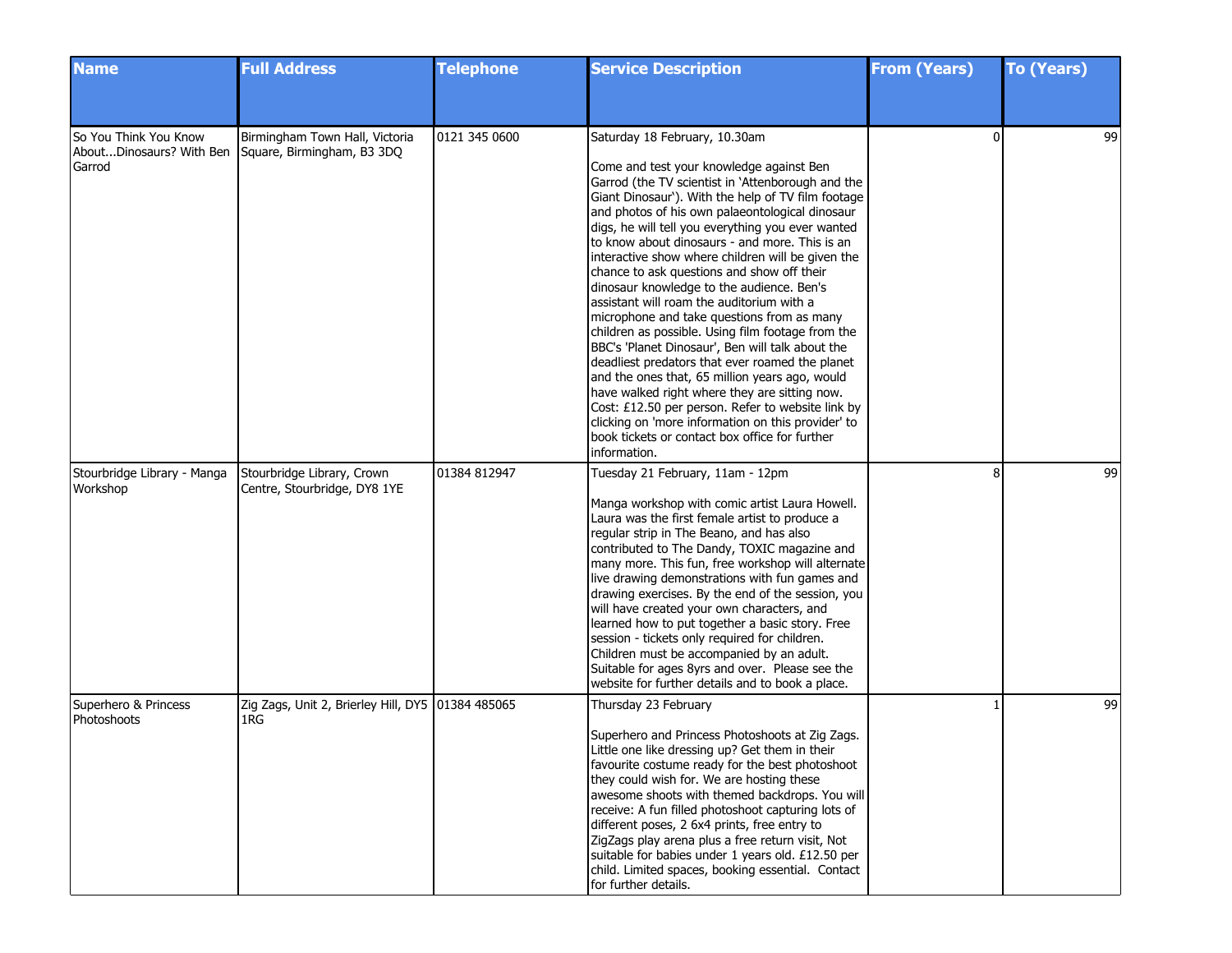| <b>Name</b>                                                 | <b>Full Address</b>                                          | <b>Telephone</b> | <b>Service Description</b>                                                                                                                                                                                                                                                                                                                                                                                                                                                                                                                                                                                                                                                                                                                                                                                                                                                                                                                                                                                                            | <b>From (Years)</b> | <b>To (Years)</b> |
|-------------------------------------------------------------|--------------------------------------------------------------|------------------|---------------------------------------------------------------------------------------------------------------------------------------------------------------------------------------------------------------------------------------------------------------------------------------------------------------------------------------------------------------------------------------------------------------------------------------------------------------------------------------------------------------------------------------------------------------------------------------------------------------------------------------------------------------------------------------------------------------------------------------------------------------------------------------------------------------------------------------------------------------------------------------------------------------------------------------------------------------------------------------------------------------------------------------|---------------------|-------------------|
|                                                             |                                                              |                  |                                                                                                                                                                                                                                                                                                                                                                                                                                                                                                                                                                                                                                                                                                                                                                                                                                                                                                                                                                                                                                       |                     |                   |
| So You Think You Know<br>AboutDinosaurs? With Ben<br>Garrod | Birmingham Town Hall, Victoria<br>Square, Birmingham, B3 3DQ | 0121 345 0600    | Saturday 18 February, 10.30am<br>Come and test your knowledge against Ben<br>Garrod (the TV scientist in 'Attenborough and the<br>Giant Dinosaur'). With the help of TV film footage<br>and photos of his own palaeontological dinosaur<br>digs, he will tell you everything you ever wanted<br>to know about dinosaurs - and more. This is an<br>interactive show where children will be given the<br>chance to ask questions and show off their<br>dinosaur knowledge to the audience. Ben's<br>assistant will roam the auditorium with a<br>microphone and take questions from as many<br>children as possible. Using film footage from the<br>BBC's 'Planet Dinosaur', Ben will talk about the<br>deadliest predators that ever roamed the planet<br>and the ones that, 65 million years ago, would<br>have walked right where they are sitting now.<br>Cost: £12.50 per person. Refer to website link by<br>clicking on 'more information on this provider' to<br>book tickets or contact box office for further<br>information. | <sup>0</sup>        | 99                |
| Stourbridge Library - Manga<br>Workshop                     | Stourbridge Library, Crown<br>Centre, Stourbridge, DY8 1YE   | 01384 812947     | Tuesday 21 February, 11am - 12pm<br>Manga workshop with comic artist Laura Howell.<br>Laura was the first female artist to produce a<br>regular strip in The Beano, and has also<br>contributed to The Dandy, TOXIC magazine and<br>many more. This fun, free workshop will alternate<br>live drawing demonstrations with fun games and<br>drawing exercises. By the end of the session, you<br>will have created your own characters, and<br>learned how to put together a basic story. Free<br>session - tickets only required for children.<br>Children must be accompanied by an adult.<br>Suitable for ages 8yrs and over. Please see the<br>website for further details and to book a place.                                                                                                                                                                                                                                                                                                                                    | 8                   | 99                |
| Superhero & Princess<br>Photoshoots                         | Zig Zags, Unit 2, Brierley Hill, DY5   01384 485065<br>1RG   |                  | Thursday 23 February<br>Superhero and Princess Photoshoots at Zig Zags.<br>Little one like dressing up? Get them in their<br>favourite costume ready for the best photoshoot<br>they could wish for. We are hosting these<br>awesome shoots with themed backdrops. You will<br>receive: A fun filled photoshoot capturing lots of<br>different poses, 2 6x4 prints, free entry to<br>ZigZags play arena plus a free return visit, Not<br>suitable for babies under 1 years old. £12.50 per<br>child. Limited spaces, booking essential. Contact<br>for further details.                                                                                                                                                                                                                                                                                                                                                                                                                                                               |                     | 99                |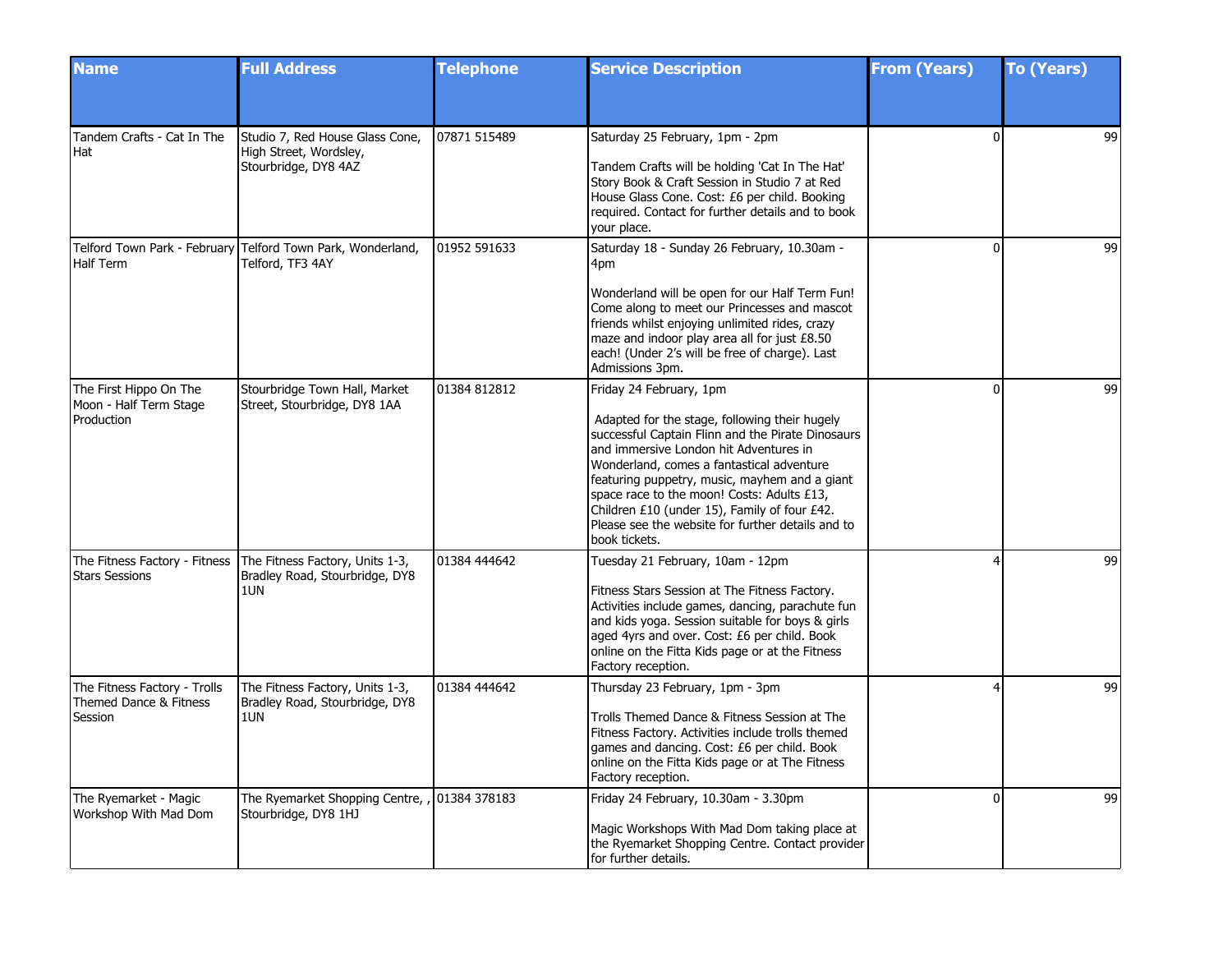| <b>Name</b>                                                       | <b>Full Address</b>                                                                                      | <b>Telephone</b> | <b>Service Description</b>                                                                                                                                                                                                                                                                                                                                                                                                                | <b>From (Years)</b> | <b>To (Years)</b> |
|-------------------------------------------------------------------|----------------------------------------------------------------------------------------------------------|------------------|-------------------------------------------------------------------------------------------------------------------------------------------------------------------------------------------------------------------------------------------------------------------------------------------------------------------------------------------------------------------------------------------------------------------------------------------|---------------------|-------------------|
|                                                                   |                                                                                                          |                  |                                                                                                                                                                                                                                                                                                                                                                                                                                           |                     |                   |
| Tandem Crafts - Cat In The<br>Hat                                 | Studio 7, Red House Glass Cone,<br>High Street, Wordsley,<br>Stourbridge, DY8 4AZ                        | 07871 515489     | Saturday 25 February, 1pm - 2pm<br>Tandem Crafts will be holding 'Cat In The Hat'<br>Story Book & Craft Session in Studio 7 at Red<br>House Glass Cone. Cost: £6 per child. Booking<br>required. Contact for further details and to book<br>your place.                                                                                                                                                                                   | U                   | 99                |
| Half Term                                                         | Telford Town Park - February Telford Town Park, Wonderland,<br>Telford, TF3 4AY                          | 01952 591633     | Saturday 18 - Sunday 26 February, 10.30am -<br>4pm<br>Wonderland will be open for our Half Term Fun!<br>Come along to meet our Princesses and mascot<br>friends whilst enjoying unlimited rides, crazy<br>maze and indoor play area all for just £8.50<br>each! (Under 2's will be free of charge). Last<br>Admissions 3pm.                                                                                                               | $\Omega$            | 99                |
| The First Hippo On The<br>Moon - Half Term Stage<br>Production    | Stourbridge Town Hall, Market<br>Street, Stourbridge, DY8 1AA                                            | 01384 812812     | Friday 24 February, 1pm<br>Adapted for the stage, following their hugely<br>successful Captain Flinn and the Pirate Dinosaurs<br>and immersive London hit Adventures in<br>Wonderland, comes a fantastical adventure<br>featuring puppetry, music, mayhem and a giant<br>space race to the moon! Costs: Adults £13,<br>Children £10 (under 15), Family of four £42.<br>Please see the website for further details and to<br>book tickets. | $\Omega$            | 99                |
| <b>Stars Sessions</b>                                             | The Fitness Factory - Fitness   The Fitness Factory, Units 1-3,<br>Bradley Road, Stourbridge, DY8<br>1UN | 01384 444642     | Tuesday 21 February, 10am - 12pm<br>Fitness Stars Session at The Fitness Factory.<br>Activities include games, dancing, parachute fun<br>and kids yoga. Session suitable for boys & girls<br>aged 4yrs and over. Cost: £6 per child. Book<br>online on the Fitta Kids page or at the Fitness<br>Factory reception.                                                                                                                        | Δ                   | 99                |
| The Fitness Factory - Trolls<br>Themed Dance & Fitness<br>Session | The Fitness Factory, Units 1-3,<br>Bradley Road, Stourbridge, DY8<br>1UN                                 | 01384 444642     | Thursday 23 February, 1pm - 3pm<br>Trolls Themed Dance & Fitness Session at The<br>Fitness Factory. Activities include trolls themed<br>games and dancing. Cost: £6 per child. Book<br>online on the Fitta Kids page or at The Fitness<br>Factory reception.                                                                                                                                                                              |                     | 99                |
| The Ryemarket - Magic<br>Workshop With Mad Dom                    | The Ryemarket Shopping Centre, , 01384 378183<br>Stourbridge, DY8 1HJ                                    |                  | Friday 24 February, 10.30am - 3.30pm<br>Magic Workshops With Mad Dom taking place at<br>the Ryemarket Shopping Centre. Contact provider<br>for further details.                                                                                                                                                                                                                                                                           | 0                   | 99                |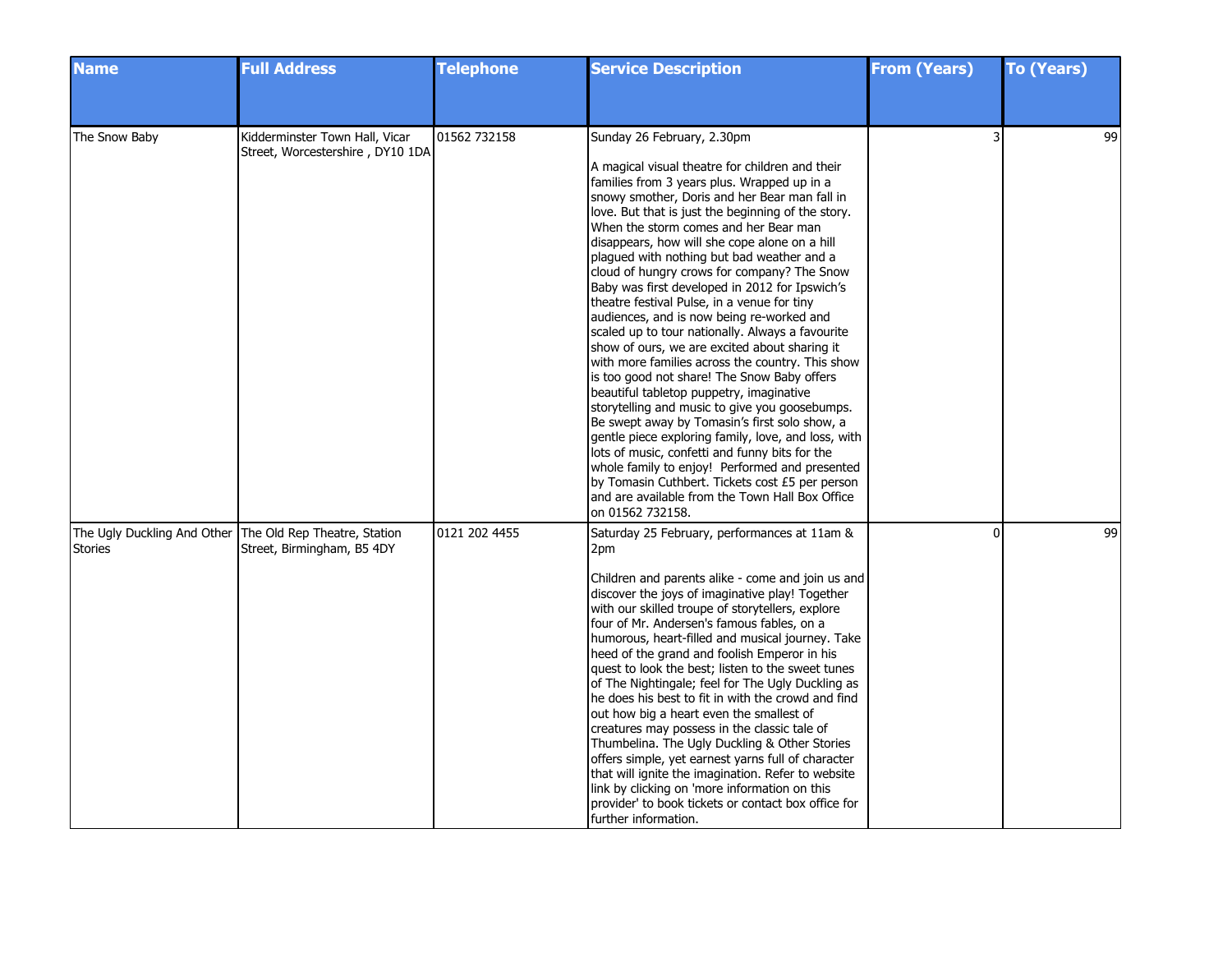| <b>Name</b>    | <b>Full Address</b>                                                                    | <b>Telephone</b> | <b>Service Description</b>                                                                                                                                                                                                                                                                                                                                                                                                                                                                                                                                                                                                                                                                                                                                                                                                                                                                                                                                                                                                                                                                                                                                                                                           | <b>From (Years)</b> | <b>To (Years)</b> |
|----------------|----------------------------------------------------------------------------------------|------------------|----------------------------------------------------------------------------------------------------------------------------------------------------------------------------------------------------------------------------------------------------------------------------------------------------------------------------------------------------------------------------------------------------------------------------------------------------------------------------------------------------------------------------------------------------------------------------------------------------------------------------------------------------------------------------------------------------------------------------------------------------------------------------------------------------------------------------------------------------------------------------------------------------------------------------------------------------------------------------------------------------------------------------------------------------------------------------------------------------------------------------------------------------------------------------------------------------------------------|---------------------|-------------------|
|                |                                                                                        |                  |                                                                                                                                                                                                                                                                                                                                                                                                                                                                                                                                                                                                                                                                                                                                                                                                                                                                                                                                                                                                                                                                                                                                                                                                                      |                     |                   |
| The Snow Baby  | Kidderminster Town Hall, Vicar<br>Street, Worcestershire, DY10 1DA                     | 01562 732158     | Sunday 26 February, 2.30pm<br>A magical visual theatre for children and their<br>families from 3 years plus. Wrapped up in a<br>snowy smother, Doris and her Bear man fall in<br>love. But that is just the beginning of the story.<br>When the storm comes and her Bear man<br>disappears, how will she cope alone on a hill<br>plagued with nothing but bad weather and a<br>cloud of hungry crows for company? The Snow<br>Baby was first developed in 2012 for Ipswich's<br>theatre festival Pulse, in a venue for tiny<br>audiences, and is now being re-worked and<br>scaled up to tour nationally. Always a favourite<br>show of ours, we are excited about sharing it<br>with more families across the country. This show<br>is too good not share! The Snow Baby offers<br>beautiful tabletop puppetry, imaginative<br>storytelling and music to give you goosebumps.<br>Be swept away by Tomasin's first solo show, a<br>gentle piece exploring family, love, and loss, with<br>lots of music, confetti and funny bits for the<br>whole family to enjoy! Performed and presented<br>by Tomasin Cuthbert. Tickets cost £5 per person<br>and are available from the Town Hall Box Office<br>on 01562 732158. |                     | 99                |
| <b>Stories</b> | The Ugly Duckling And Other The Old Rep Theatre, Station<br>Street, Birmingham, B5 4DY | 0121 202 4455    | Saturday 25 February, performances at 11am &<br>2pm<br>Children and parents alike - come and join us and<br>discover the joys of imaginative play! Together<br>with our skilled troupe of storytellers, explore<br>four of Mr. Andersen's famous fables, on a<br>humorous, heart-filled and musical journey. Take<br>heed of the grand and foolish Emperor in his<br>quest to look the best; listen to the sweet tunes<br>of The Nightingale; feel for The Ugly Duckling as<br>he does his best to fit in with the crowd and find<br>out how big a heart even the smallest of<br>creatures may possess in the classic tale of<br>Thumbelina. The Ugly Duckling & Other Stories<br>offers simple, yet earnest yarns full of character<br>that will ignite the imagination. Refer to website<br>link by clicking on 'more information on this<br>provider' to book tickets or contact box office for<br>further information.                                                                                                                                                                                                                                                                                           | $\mathbf{0}$        | 99                |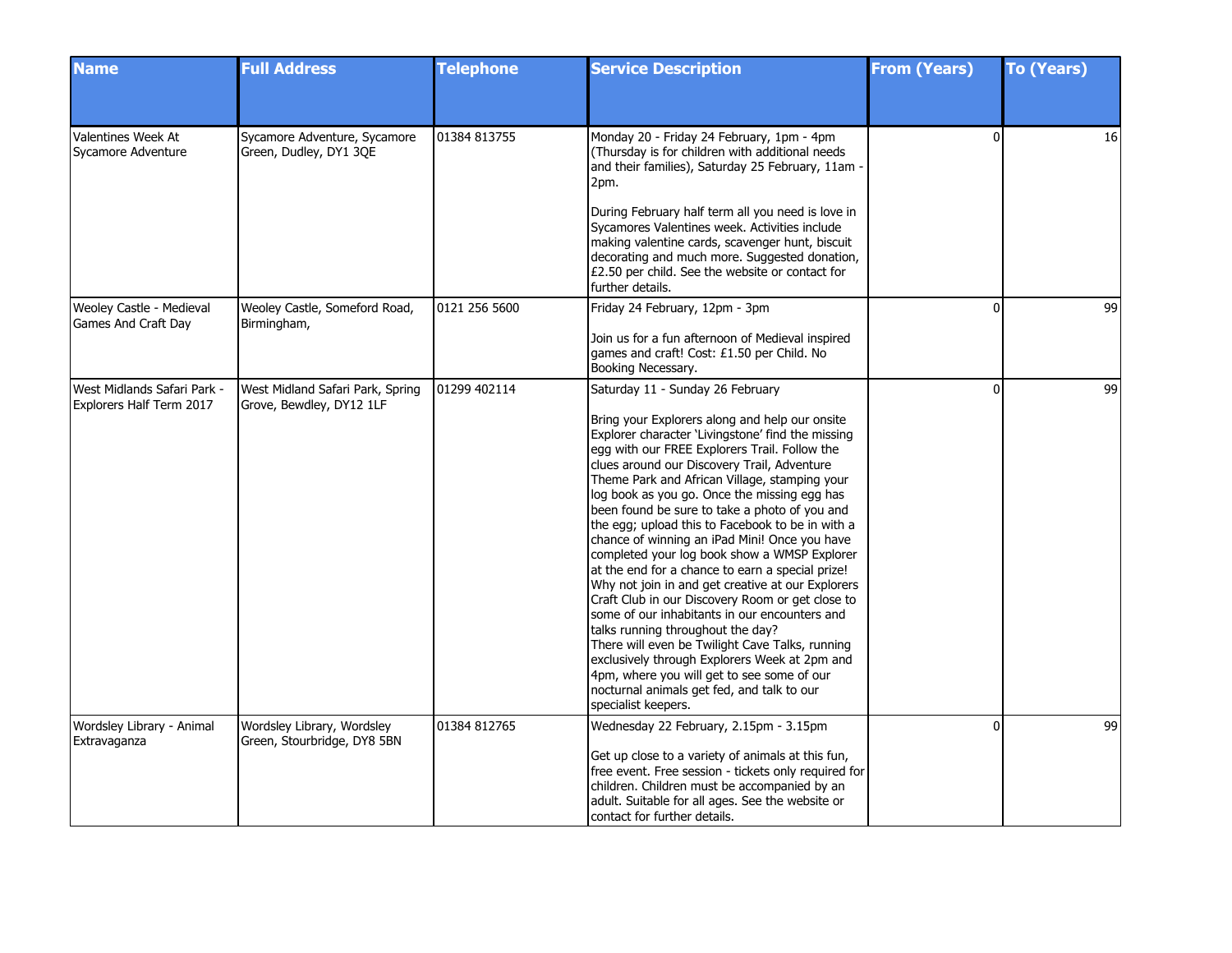| <b>Name</b>                                             | <b>Full Address</b>                                          | <b>Telephone</b> | <b>Service Description</b>                                                                                                                                                                                                                                                                                                                                                                                                                                                                                                                                                                                                                                                                                                                                                                                                                                                                                                                                                                        | <b>From (Years)</b> | <b>To (Years)</b> |
|---------------------------------------------------------|--------------------------------------------------------------|------------------|---------------------------------------------------------------------------------------------------------------------------------------------------------------------------------------------------------------------------------------------------------------------------------------------------------------------------------------------------------------------------------------------------------------------------------------------------------------------------------------------------------------------------------------------------------------------------------------------------------------------------------------------------------------------------------------------------------------------------------------------------------------------------------------------------------------------------------------------------------------------------------------------------------------------------------------------------------------------------------------------------|---------------------|-------------------|
|                                                         |                                                              |                  |                                                                                                                                                                                                                                                                                                                                                                                                                                                                                                                                                                                                                                                                                                                                                                                                                                                                                                                                                                                                   |                     |                   |
| Valentines Week At<br>Sycamore Adventure                | Sycamore Adventure, Sycamore<br>Green, Dudley, DY1 3QE       | 01384 813755     | Monday 20 - Friday 24 February, 1pm - 4pm<br>(Thursday is for children with additional needs<br>and their families), Saturday 25 February, 11am -<br>2pm.                                                                                                                                                                                                                                                                                                                                                                                                                                                                                                                                                                                                                                                                                                                                                                                                                                         | 0                   | 16 <sup>1</sup>   |
|                                                         |                                                              |                  | During February half term all you need is love in<br>Sycamores Valentines week. Activities include<br>making valentine cards, scavenger hunt, biscuit<br>decorating and much more. Suggested donation,<br>£2.50 per child. See the website or contact for<br>further details.                                                                                                                                                                                                                                                                                                                                                                                                                                                                                                                                                                                                                                                                                                                     |                     |                   |
| Weoley Castle - Medieval<br>Games And Craft Day         | Weoley Castle, Someford Road,<br>Birmingham,                 | 0121 256 5600    | Friday 24 February, 12pm - 3pm                                                                                                                                                                                                                                                                                                                                                                                                                                                                                                                                                                                                                                                                                                                                                                                                                                                                                                                                                                    | $\Omega$            | 99                |
|                                                         |                                                              |                  | Join us for a fun afternoon of Medieval inspired<br>games and craft! Cost: £1.50 per Child. No<br>Booking Necessary.                                                                                                                                                                                                                                                                                                                                                                                                                                                                                                                                                                                                                                                                                                                                                                                                                                                                              |                     |                   |
| West Midlands Safari Park -<br>Explorers Half Term 2017 | West Midland Safari Park, Spring<br>Grove, Bewdley, DY12 1LF | 01299 402114     | Saturday 11 - Sunday 26 February<br>Bring your Explorers along and help our onsite<br>Explorer character 'Livingstone' find the missing<br>egg with our FREE Explorers Trail. Follow the<br>clues around our Discovery Trail, Adventure<br>Theme Park and African Village, stamping your<br>log book as you go. Once the missing egg has<br>been found be sure to take a photo of you and<br>the egg; upload this to Facebook to be in with a<br>chance of winning an iPad Mini! Once you have<br>completed your log book show a WMSP Explorer<br>at the end for a chance to earn a special prize!<br>Why not join in and get creative at our Explorers<br>Craft Club in our Discovery Room or get close to<br>some of our inhabitants in our encounters and<br>talks running throughout the day?<br>There will even be Twilight Cave Talks, running<br>exclusively through Explorers Week at 2pm and<br>4pm, where you will get to see some of our<br>nocturnal animals get fed, and talk to our | 0                   | 99                |
| Wordsley Library - Animal<br>Extravaganza               | Wordsley Library, Wordsley<br>Green, Stourbridge, DY8 5BN    | 01384 812765     | specialist keepers.<br>Wednesday 22 February, 2.15pm - 3.15pm<br>Get up close to a variety of animals at this fun,<br>free event. Free session - tickets only required for<br>children. Children must be accompanied by an<br>adult. Suitable for all ages. See the website or<br>contact for further details.                                                                                                                                                                                                                                                                                                                                                                                                                                                                                                                                                                                                                                                                                    | O                   | 99                |